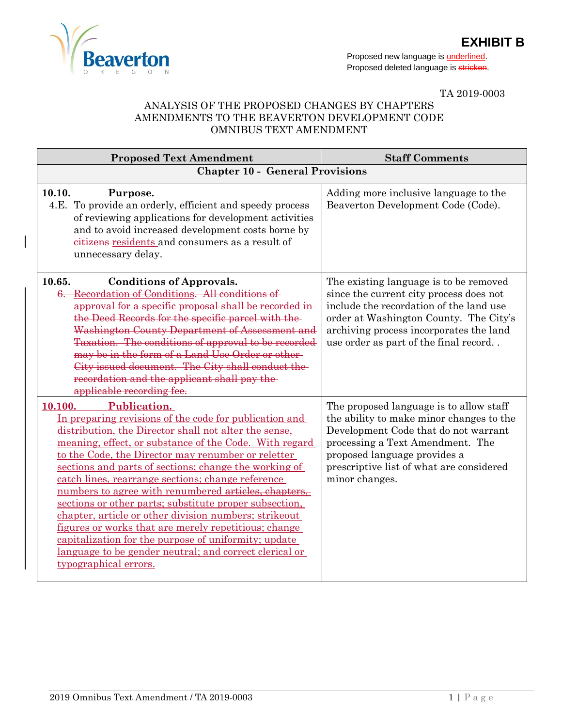

Proposed new language is **underlined**. Proposed deleted language is stricken.

TA 2019-0003

## ANALYSIS OF THE PROPOSED CHANGES BY CHAPTERS AMENDMENTS TO THE BEAVERTON DEVELOPMENT CODE OMNIBUS TEXT AMENDMENT

| <b>Proposed Text Amendment</b>                                                                                                                                                                                                                                                                                                                                                                                                                                                                                                                                                                                                                                                                                                                                | <b>Staff Comments</b>                                                                                                                                                                                                                                         |
|---------------------------------------------------------------------------------------------------------------------------------------------------------------------------------------------------------------------------------------------------------------------------------------------------------------------------------------------------------------------------------------------------------------------------------------------------------------------------------------------------------------------------------------------------------------------------------------------------------------------------------------------------------------------------------------------------------------------------------------------------------------|---------------------------------------------------------------------------------------------------------------------------------------------------------------------------------------------------------------------------------------------------------------|
| <b>Chapter 10 - General Provisions</b>                                                                                                                                                                                                                                                                                                                                                                                                                                                                                                                                                                                                                                                                                                                        |                                                                                                                                                                                                                                                               |
| 10.10.<br>Purpose.<br>4.E. To provide an orderly, efficient and speedy process<br>of reviewing applications for development activities<br>and to avoid increased development costs borne by<br>eitizens-residents and consumers as a result of<br>unnecessary delay.                                                                                                                                                                                                                                                                                                                                                                                                                                                                                          | Adding more inclusive language to the<br>Beaverton Development Code (Code).                                                                                                                                                                                   |
| 10.65.<br><b>Conditions of Approvals.</b><br>6. Recordation of Conditions. All conditions of<br>approval for a specific proposal shall be recorded in-<br>the Deed Records for the specific parcel with the<br>Washington County Department of Assessment and<br>Taxation. The conditions of approval to be recorded<br>may be in the form of a Land Use Order or other<br>City issued document. The City shall conduct the<br>recordation and the applicant shall pay the<br>applicable recording fee.                                                                                                                                                                                                                                                       | The existing language is to be removed<br>since the current city process does not<br>include the recordation of the land use<br>order at Washington County. The City's<br>archiving process incorporates the land<br>use order as part of the final record    |
| <b>Publication.</b><br>10.100.<br>In preparing revisions of the code for publication and<br>distribution, the Director shall not alter the sense,<br>meaning, effect, or substance of the Code. With regard<br>to the Code, the Director may renumber or reletter<br>sections and parts of sections; change the working of<br>eatch lines, rearrange sections; change reference<br>numbers to agree with renumbered articles, chapters,<br>sections or other parts; substitute proper subsection,<br>chapter, article or other division numbers; strikeout<br>figures or works that are merely repetitious; change<br>capitalization for the purpose of uniformity; update<br>language to be gender neutral; and correct clerical or<br>typographical errors. | The proposed language is to allow staff<br>the ability to make minor changes to the<br>Development Code that do not warrant<br>processing a Text Amendment. The<br>proposed language provides a<br>prescriptive list of what are considered<br>minor changes. |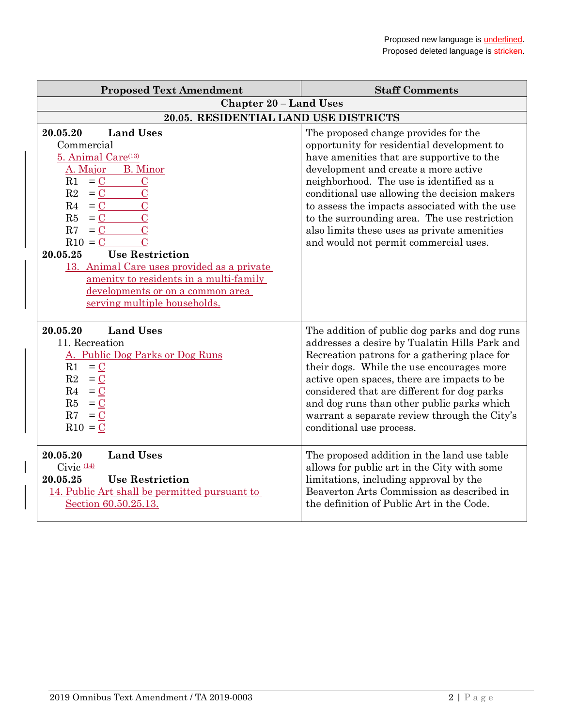| <b>Proposed Text Amendment</b>                                                                                                                                                                                                                                                                                                                                                                                                                                                                                             | <b>Staff Comments</b>                                                                                                                                                                                                                                                                                                                                                                                                                                        |
|----------------------------------------------------------------------------------------------------------------------------------------------------------------------------------------------------------------------------------------------------------------------------------------------------------------------------------------------------------------------------------------------------------------------------------------------------------------------------------------------------------------------------|--------------------------------------------------------------------------------------------------------------------------------------------------------------------------------------------------------------------------------------------------------------------------------------------------------------------------------------------------------------------------------------------------------------------------------------------------------------|
| <b>Chapter 20 - Land Uses</b>                                                                                                                                                                                                                                                                                                                                                                                                                                                                                              |                                                                                                                                                                                                                                                                                                                                                                                                                                                              |
| 20.05. RESIDENTIAL LAND USE DISTRICTS                                                                                                                                                                                                                                                                                                                                                                                                                                                                                      |                                                                                                                                                                                                                                                                                                                                                                                                                                                              |
| 20.05.20<br><b>Land Uses</b><br>Commercial<br>5. Animal Care <sup>(13)</sup><br><b>B.</b> Minor<br>A. Major<br>R1<br>$= C$<br>$\mathbf C$<br>R2<br>$\overline{C}$<br>$= C$<br>$\overline{C}$<br>R <sub>4</sub><br>$= C$<br>$\overline{C}$<br>R5<br>$= C$<br>$\overline{C}$<br>R7<br>$= C$<br>$\overline{C}$<br>$R10 = C$<br><b>Use Restriction</b><br>20.05.25<br>13. Animal Care uses provided as a private<br>amenity to residents in a multi-family<br>developments or on a common area<br>serving multiple households. | The proposed change provides for the<br>opportunity for residential development to<br>have amenities that are supportive to the<br>development and create a more active<br>neighborhood. The use is identified as a<br>conditional use allowing the decision makers<br>to assess the impacts associated with the use<br>to the surrounding area. The use restriction<br>also limits these uses as private amenities<br>and would not permit commercial uses. |
| <b>Land Uses</b><br>20.05.20<br>11. Recreation<br>A. Public Dog Parks or Dog Runs<br>$= 0$<br>R1<br>R2<br>$=$ C<br>R4<br>$=$ C<br>R5<br>$= 0$<br>R7<br>$= 0$<br>$R10 = C$                                                                                                                                                                                                                                                                                                                                                  | The addition of public dog parks and dog runs<br>addresses a desire by Tualatin Hills Park and<br>Recreation patrons for a gathering place for<br>their dogs. While the use encourages more<br>active open spaces, there are impacts to be<br>considered that are different for dog parks<br>and dog runs than other public parks which<br>warrant a separate review through the City's<br>conditional use process.                                          |
| <b>Land Uses</b><br>20.05.20<br>Civic $(14)$<br><b>Use Restriction</b><br>20.05.25<br>14. Public Art shall be permitted pursuant to<br>Section 60.50.25.13.                                                                                                                                                                                                                                                                                                                                                                | The proposed addition in the land use table<br>allows for public art in the City with some<br>limitations, including approval by the<br>Beaverton Arts Commission as described in<br>the definition of Public Art in the Code.                                                                                                                                                                                                                               |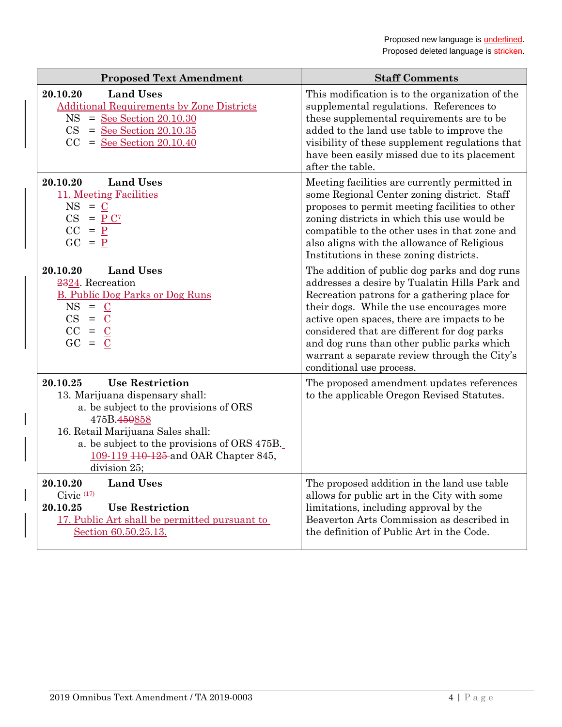| <b>Proposed Text Amendment</b>                                                                                                                                                                                                                                                         | <b>Staff Comments</b>                                                                                                                                                                                                                                                                                                                                                                                               |
|----------------------------------------------------------------------------------------------------------------------------------------------------------------------------------------------------------------------------------------------------------------------------------------|---------------------------------------------------------------------------------------------------------------------------------------------------------------------------------------------------------------------------------------------------------------------------------------------------------------------------------------------------------------------------------------------------------------------|
| 20.10.20<br><b>Land Uses</b><br><b>Additional Requirements by Zone Districts</b><br>$=$ See Section 20.10.30<br>NS<br>CS<br>$=$ See Section 20.10.35<br>CC<br>$=$ See Section 20.10.40                                                                                                 | This modification is to the organization of the<br>supplemental regulations. References to<br>these supplemental requirements are to be<br>added to the land use table to improve the<br>visibility of these supplement regulations that<br>have been easily missed due to its placement<br>after the table.                                                                                                        |
| 20.10.20<br><b>Land Uses</b><br>11. Meeting Facilities<br>$NS = C$<br>$CS = P C^7$<br>$CC = P$<br>$GC = P$                                                                                                                                                                             | Meeting facilities are currently permitted in<br>some Regional Center zoning district. Staff<br>proposes to permit meeting facilities to other<br>zoning districts in which this use would be<br>compatible to the other uses in that zone and<br>also aligns with the allowance of Religious<br>Institutions in these zoning districts.                                                                            |
| 20.10.20<br><b>Land Uses</b><br>2324. Recreation<br><b>B. Public Dog Parks or Dog Runs</b><br>$NS = C$<br>$CS = C$<br>$CC = C$<br>$GC =$<br>$\mathbf C$                                                                                                                                | The addition of public dog parks and dog runs<br>addresses a desire by Tualatin Hills Park and<br>Recreation patrons for a gathering place for<br>their dogs. While the use encourages more<br>active open spaces, there are impacts to be<br>considered that are different for dog parks<br>and dog runs than other public parks which<br>warrant a separate review through the City's<br>conditional use process. |
| 20.10.25<br><b>Use Restriction</b><br>13. Marijuana dispensary shall:<br>a. be subject to the provisions of ORS<br>475B.450858<br>16. Retail Marijuana Sales shall:<br>a. be subject to the provisions of ORS 475B.<br>109-119 <del>110-125</del> and OAR Chapter 845,<br>division 25; | The proposed amendment updates references<br>to the applicable Oregon Revised Statutes.                                                                                                                                                                                                                                                                                                                             |
| <b>Land Uses</b><br>20.10.20<br>Civic $(17)$<br>20.10.25<br><b>Use Restriction</b><br>17. Public Art shall be permitted pursuant to<br>Section 60.50.25.13.                                                                                                                            | The proposed addition in the land use table<br>allows for public art in the City with some<br>limitations, including approval by the<br>Beaverton Arts Commission as described in<br>the definition of Public Art in the Code.                                                                                                                                                                                      |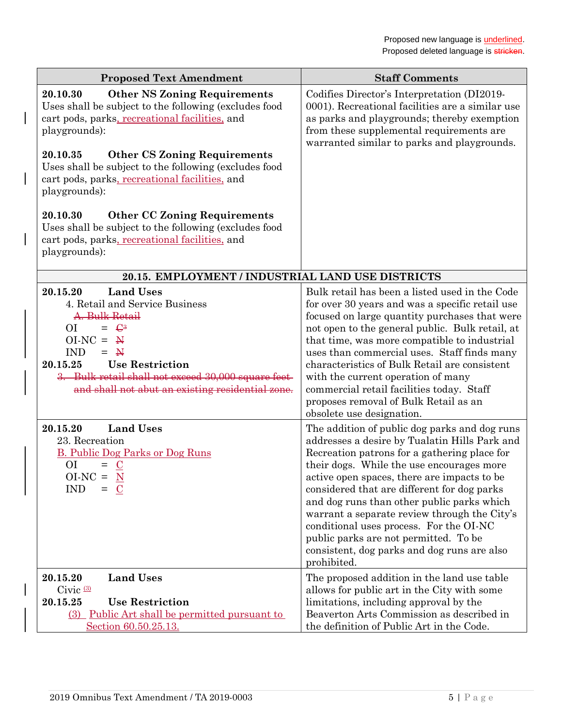| <b>Proposed Text Amendment</b>                                                                                                                                                                                                                                                               | <b>Staff Comments</b>                                                                                                                                                                                                                                                                                                                                                                                                                                                                                                                     |
|----------------------------------------------------------------------------------------------------------------------------------------------------------------------------------------------------------------------------------------------------------------------------------------------|-------------------------------------------------------------------------------------------------------------------------------------------------------------------------------------------------------------------------------------------------------------------------------------------------------------------------------------------------------------------------------------------------------------------------------------------------------------------------------------------------------------------------------------------|
| <b>Other NS Zoning Requirements</b><br>20.10.30<br>Uses shall be subject to the following (excludes food<br>cart pods, parks, recreational facilities, and<br>playgrounds):<br>20.10.35<br><b>Other CS Zoning Requirements</b>                                                               | Codifies Director's Interpretation (DI2019-<br>0001). Recreational facilities are a similar use<br>as parks and playgrounds; thereby exemption<br>from these supplemental requirements are<br>warranted similar to parks and playgrounds.                                                                                                                                                                                                                                                                                                 |
| Uses shall be subject to the following (excludes food<br>cart pods, parks, recreational facilities, and<br>playgrounds):                                                                                                                                                                     |                                                                                                                                                                                                                                                                                                                                                                                                                                                                                                                                           |
| 20.10.30<br><b>Other CC Zoning Requirements</b><br>Uses shall be subject to the following (excludes food<br>cart pods, parks, recreational facilities, and<br>playgrounds):                                                                                                                  |                                                                                                                                                                                                                                                                                                                                                                                                                                                                                                                                           |
| 20.15. EMPLOYMENT / INDUSTRIAL LAND USE DISTRICTS                                                                                                                                                                                                                                            |                                                                                                                                                                                                                                                                                                                                                                                                                                                                                                                                           |
| <b>Land Uses</b><br>20.15.20<br>4. Retail and Service Business<br>A. Bulk Retail<br>$= \Theta^3$<br>ОI<br>$OINC = M$<br><b>IND</b><br>$=$ N<br>20.15.25<br><b>Use Restriction</b><br>3. Bulk retail shall not exceed 30,000 square feet-<br>and shall not abut an existing residential zone. | Bulk retail has been a listed used in the Code<br>for over 30 years and was a specific retail use<br>focused on large quantity purchases that were<br>not open to the general public. Bulk retail, at<br>that time, was more compatible to industrial<br>uses than commercial uses. Staff finds many<br>characteristics of Bulk Retail are consistent<br>with the current operation of many<br>commercial retail facilities today. Staff<br>proposes removal of Bulk Retail as an<br>obsolete use designation.                            |
| <b>Land Uses</b><br>20.15.20<br>23. Recreation<br><b>B. Public Dog Parks or Dog Runs</b><br>O <sub>I</sub><br>$=$ $\mathbf{C}$<br>$O I-NC = M$<br><b>IND</b><br>$\mathbf C$<br>$=$                                                                                                           | The addition of public dog parks and dog runs<br>addresses a desire by Tualatin Hills Park and<br>Recreation patrons for a gathering place for<br>their dogs. While the use encourages more<br>active open spaces, there are impacts to be<br>considered that are different for dog parks<br>and dog runs than other public parks which<br>warrant a separate review through the City's<br>conditional uses process. For the OI-NC<br>public parks are not permitted. To be<br>consistent, dog parks and dog runs are also<br>prohibited. |
| 20.15.20<br><b>Land Uses</b><br>Civic $(3)$<br>20.15.25<br><b>Use Restriction</b><br>(3) Public Art shall be permitted pursuant to<br>Section 60.50.25.13.                                                                                                                                   | The proposed addition in the land use table<br>allows for public art in the City with some<br>limitations, including approval by the<br>Beaverton Arts Commission as described in<br>the definition of Public Art in the Code.                                                                                                                                                                                                                                                                                                            |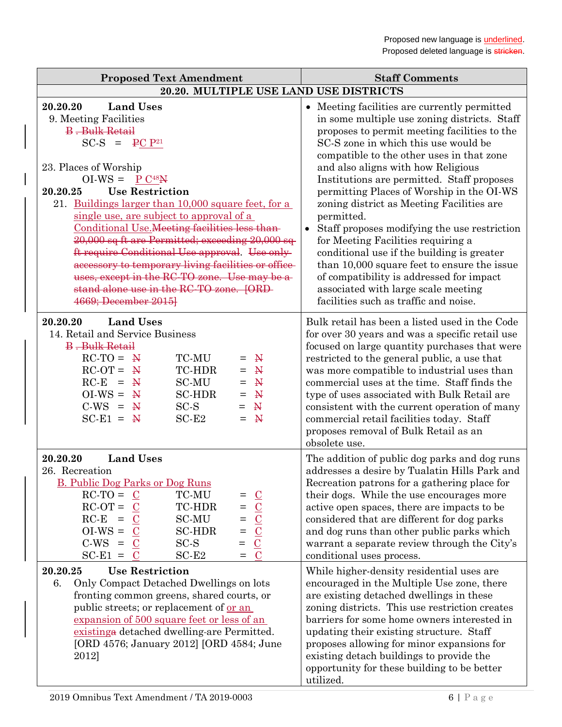| <b>Proposed Text Amendment</b>                                                                                                                                                                                                                                                                                                                                                                                                                                                                                                                                                                                              | <b>Staff Comments</b>                                                                                                                                                                                                                                                                                                                                                                                                                                                                                                                                                                                                                                                                                                                      |
|-----------------------------------------------------------------------------------------------------------------------------------------------------------------------------------------------------------------------------------------------------------------------------------------------------------------------------------------------------------------------------------------------------------------------------------------------------------------------------------------------------------------------------------------------------------------------------------------------------------------------------|--------------------------------------------------------------------------------------------------------------------------------------------------------------------------------------------------------------------------------------------------------------------------------------------------------------------------------------------------------------------------------------------------------------------------------------------------------------------------------------------------------------------------------------------------------------------------------------------------------------------------------------------------------------------------------------------------------------------------------------------|
| 20.20. MULTIPLE USE LAND USE DISTRICTS                                                                                                                                                                                                                                                                                                                                                                                                                                                                                                                                                                                      |                                                                                                                                                                                                                                                                                                                                                                                                                                                                                                                                                                                                                                                                                                                                            |
| 20.20.20<br><b>Land Uses</b><br>9. Meeting Facilities<br><b>B</b> . Bulk Retail<br>$SC-S = PC P21$<br>23. Places of Worship<br>$OI-WS = P C48N$<br><b>Use Restriction</b><br>20.20.25<br>21. Buildings larger than 10,000 square feet, for a<br>single use, are subject to approval of a<br>Conditional Use. Meeting facilities less than-<br>20,000 sq ft are Permitted; exceeding 20,000 sq<br>ft require Conditional Use approval. Use only-<br>accessory to temporary living facilities or office-<br>uses, except in the RC-TO zone. Use may be a-<br>stand alone use in the RC-TO zone. [ORD-<br>4669; December 2015] | Meeting facilities are currently permitted<br>in some multiple use zoning districts. Staff<br>proposes to permit meeting facilities to the<br>SC-S zone in which this use would be<br>compatible to the other uses in that zone<br>and also aligns with how Religious<br>Institutions are permitted. Staff proposes<br>permitting Places of Worship in the OI-WS<br>zoning district as Meeting Facilities are<br>permitted.<br>Staff proposes modifying the use restriction<br>for Meeting Facilities requiring a<br>conditional use if the building is greater<br>than 10,000 square feet to ensure the issue<br>of compatibility is addressed for impact<br>associated with large scale meeting<br>facilities such as traffic and noise. |
| <b>Land Uses</b><br>20.20.20<br>14. Retail and Service Business<br><b>B</b> . Bulk Retail<br>$RC-TO = \frac{N}{2}$<br>TC-MU<br>$\mathbf{N}$<br>$=$<br>$RC-OT =$<br>TC-HDR<br>$\mathbb{R}^n$<br>$\mathbf{N}$<br>$=$<br>$RC-E =$<br><b>SC-MU</b><br>$\mathbf{N}$<br>$\mathbf{N}$<br>$=$<br>$OI-WS = M$<br><b>SC-HDR</b><br>$\mathbf{N}$<br>$=$<br>$C-WS = W$<br>$SC-S$<br>$\mathbb{N}$<br>$=$<br>$SC-E1 = M$<br>$SC-E2$<br>$\mathbf{N}$<br>$=$                                                                                                                                                                                | Bulk retail has been a listed used in the Code<br>for over 30 years and was a specific retail use<br>focused on large quantity purchases that were<br>restricted to the general public, a use that<br>was more compatible to industrial uses than<br>commercial uses at the time. Staff finds the<br>type of uses associated with Bulk Retail are<br>consistent with the current operation of many<br>commercial retail facilities today. Staff<br>proposes removal of Bulk Retail as an<br>obsolete use.                                                                                                                                                                                                                                  |
| <b>Land Uses</b><br>20.20.20<br>26. Recreation<br><b>B. Public Dog Parks or Dog Runs</b><br>$RC-TO =$<br>TC-MU<br>$rac{\text{C}}{\text{C}}$<br>$=$<br>$RC-OT =$<br>TC-HDR<br>$=$<br>$RC-E$<br><b>SC-MU</b><br>$\equiv$<br>$=$<br>$OI-WS =$<br><b>SC-HDR</b><br>$\mathbf C$<br>$\!\!\!=\!\!\!\!$<br>$C-WS =$<br>$\overline{C}$<br>$SC-S$<br>$=$<br>$SC-E1 =$<br>$SC-E2$<br>$\mathbf C$<br>$=$                                                                                                                                                                                                                                | The addition of public dog parks and dog runs<br>addresses a desire by Tualatin Hills Park and<br>Recreation patrons for a gathering place for<br>their dogs. While the use encourages more<br>active open spaces, there are impacts to be<br>considered that are different for dog parks<br>and dog runs than other public parks which<br>warrant a separate review through the City's<br>conditional uses process.                                                                                                                                                                                                                                                                                                                       |
| <b>Use Restriction</b><br>20.20.25<br>Only Compact Detached Dwellings on lots<br>6.<br>fronting common greens, shared courts, or<br>public streets; or replacement of <u>or an</u><br>expansion of 500 square feet or less of an<br>existing a detached dwelling-are Permitted.<br>[ORD 4576; January 2012] [ORD 4584; June<br>2012]                                                                                                                                                                                                                                                                                        | While higher-density residential uses are<br>encouraged in the Multiple Use zone, there<br>are existing detached dwellings in these<br>zoning districts. This use restriction creates<br>barriers for some home owners interested in<br>updating their existing structure. Staff<br>proposes allowing for minor expansions for<br>existing detach buildings to provide the<br>opportunity for these building to be better<br>utilized.                                                                                                                                                                                                                                                                                                     |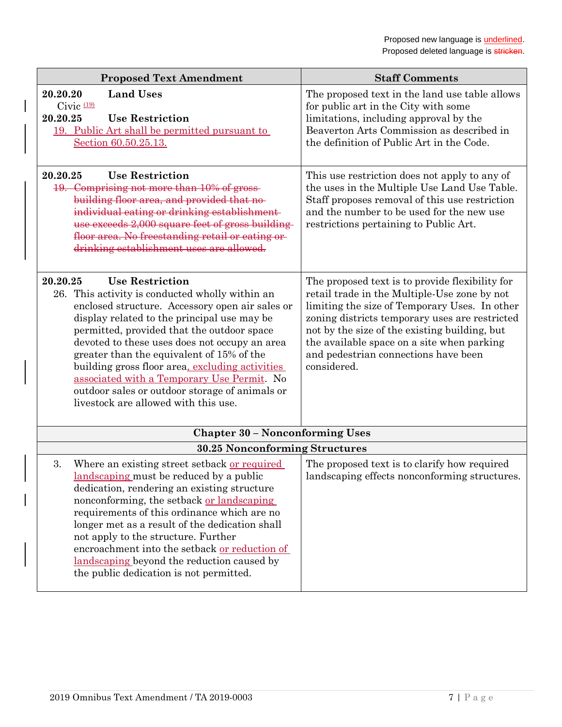| <b>Proposed Text Amendment</b>                                                                                                                                                                                                                                                                                                                                                                                                                                                                                                 | <b>Staff Comments</b>                                                                                                                                                                                                                                                                                                                                    |
|--------------------------------------------------------------------------------------------------------------------------------------------------------------------------------------------------------------------------------------------------------------------------------------------------------------------------------------------------------------------------------------------------------------------------------------------------------------------------------------------------------------------------------|----------------------------------------------------------------------------------------------------------------------------------------------------------------------------------------------------------------------------------------------------------------------------------------------------------------------------------------------------------|
| <b>Land Uses</b><br>20.20.20<br>Civic $(19)$<br>20.20.25<br><b>Use Restriction</b><br>19. Public Art shall be permitted pursuant to<br>Section 60.50.25.13.                                                                                                                                                                                                                                                                                                                                                                    | The proposed text in the land use table allows<br>for public art in the City with some<br>limitations, including approval by the<br>Beaverton Arts Commission as described in<br>the definition of Public Art in the Code.                                                                                                                               |
| <b>Use Restriction</b><br>20.20.25<br>19. Comprising not more than 10% of gross-<br>building floor area, and provided that no-<br>individual eating or drinking establishment-<br>use exceeds 2,000 square feet of gross building<br>floor area. No freestanding retail or eating or-<br>drinking establishment uses are allowed.                                                                                                                                                                                              | This use restriction does not apply to any of<br>the uses in the Multiple Use Land Use Table.<br>Staff proposes removal of this use restriction<br>and the number to be used for the new use<br>restrictions pertaining to Public Art.                                                                                                                   |
| <b>Use Restriction</b><br>20.20.25<br>26. This activity is conducted wholly within an<br>enclosed structure. Accessory open air sales or<br>display related to the principal use may be<br>permitted, provided that the outdoor space<br>devoted to these uses does not occupy an area<br>greater than the equivalent of 15% of the<br>building gross floor area, excluding activities<br>associated with a Temporary Use Permit. No<br>outdoor sales or outdoor storage of animals or<br>livestock are allowed with this use. | The proposed text is to provide flexibility for<br>retail trade in the Multiple-Use zone by not<br>limiting the size of Temporary Uses. In other<br>zoning districts temporary uses are restricted<br>not by the size of the existing building, but<br>the available space on a site when parking<br>and pedestrian connections have been<br>considered. |
| <b>Chapter 30 - Nonconforming Uses</b>                                                                                                                                                                                                                                                                                                                                                                                                                                                                                         |                                                                                                                                                                                                                                                                                                                                                          |
| 30.25 Nonconforming Structures                                                                                                                                                                                                                                                                                                                                                                                                                                                                                                 |                                                                                                                                                                                                                                                                                                                                                          |
| 3.<br>Where an existing street setback or required<br><u>landscaping</u> must be reduced by a public<br>dedication, rendering an existing structure<br>nonconforming, the setback <u>or landscaping</u><br>requirements of this ordinance which are no<br>longer met as a result of the dedication shall<br>not apply to the structure. Further<br>encroachment into the setback or reduction of<br>landscaping beyond the reduction caused by<br>the public dedication is not permitted.                                      | The proposed text is to clarify how required<br>landscaping effects nonconforming structures.                                                                                                                                                                                                                                                            |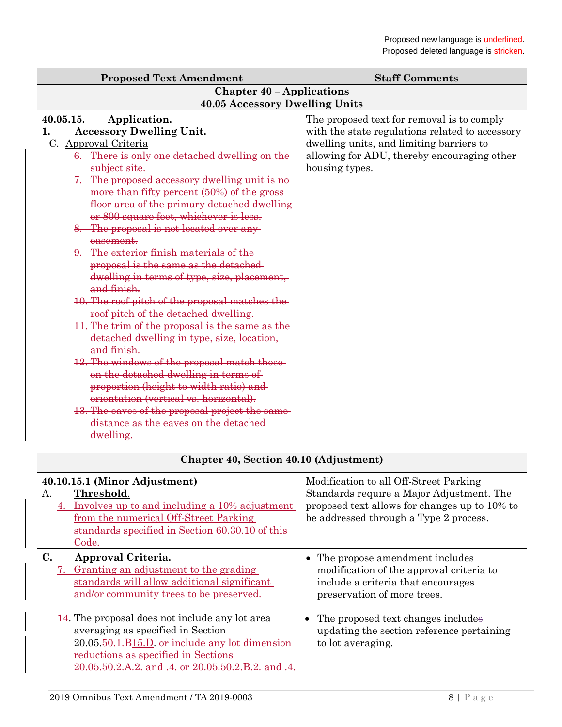| <b>Proposed Text Amendment</b>                                                                                                                                                                                                                                                                                                                                                                                                                                                                                                                                                                                                                                                                                                                                                                                                                                                                                                                                                                                                                                  | <b>Staff Comments</b>                                                                                                                                                                                                                                        |
|-----------------------------------------------------------------------------------------------------------------------------------------------------------------------------------------------------------------------------------------------------------------------------------------------------------------------------------------------------------------------------------------------------------------------------------------------------------------------------------------------------------------------------------------------------------------------------------------------------------------------------------------------------------------------------------------------------------------------------------------------------------------------------------------------------------------------------------------------------------------------------------------------------------------------------------------------------------------------------------------------------------------------------------------------------------------|--------------------------------------------------------------------------------------------------------------------------------------------------------------------------------------------------------------------------------------------------------------|
| <b>Chapter 40 - Applications</b>                                                                                                                                                                                                                                                                                                                                                                                                                                                                                                                                                                                                                                                                                                                                                                                                                                                                                                                                                                                                                                |                                                                                                                                                                                                                                                              |
| 40.05 Accessory Dwelling Units                                                                                                                                                                                                                                                                                                                                                                                                                                                                                                                                                                                                                                                                                                                                                                                                                                                                                                                                                                                                                                  |                                                                                                                                                                                                                                                              |
| 40.05.15.<br>Application.<br><b>Accessory Dwelling Unit.</b><br>1.<br>C. Approval Criteria<br>6. There is only one detached dwelling on the<br>subject site.<br>7. The proposed accessory dwelling unit is no-<br>more than fifty percent (50%) of the gross-<br>floor area of the primary detached dwelling<br>or 800 square feet, whichever is less.<br>8. The proposal is not located over any-<br>easement.<br>9. The exterior finish materials of the<br>proposal is the same as the detached-<br>dwelling in terms of type, size, placement,<br>and finish.<br>10. The roof pitch of the proposal matches the-<br>roof pitch of the detached dwelling.<br>11. The trim of the proposal is the same as the<br>detached dwelling in type, size, location,<br>and finish.<br>12. The windows of the proposal match those<br>on the detached dwelling in terms of<br>proportion (height to width ratio) and<br>orientation (vertical vs. horizontal).<br>13. The eaves of the proposal project the same<br>distance as the caves on the detached<br>dwelling. | The proposed text for removal is to comply<br>with the state regulations related to accessory<br>dwelling units, and limiting barriers to<br>allowing for ADU, thereby encouraging other<br>housing types.                                                   |
| Chapter 40, Section 40.10 (Adjustment)                                                                                                                                                                                                                                                                                                                                                                                                                                                                                                                                                                                                                                                                                                                                                                                                                                                                                                                                                                                                                          |                                                                                                                                                                                                                                                              |
| 40.10.15.1 (Minor Adjustment)<br>Threshold.<br>А.<br>4. Involves up to and including a 10% adjustment<br>from the numerical Off-Street Parking<br>standards specified in Section 60.30.10 of this<br>Code.                                                                                                                                                                                                                                                                                                                                                                                                                                                                                                                                                                                                                                                                                                                                                                                                                                                      | Modification to all Off-Street Parking<br>Standards require a Major Adjustment. The<br>proposed text allows for changes up to 10% to<br>be addressed through a Type 2 process.                                                                               |
| C.<br>Approval Criteria.<br>7. Granting an adjustment to the grading<br>standards will allow additional significant<br>and/or community trees to be preserved.<br>$14$ . The proposal does not include any lot area<br>averaging as specified in Section<br>$20.05.50.1.B15.D.$ or include any lot dimension-<br>reductions as specified in Sections-<br>20.05.50.2.A.2. and .4. or 20.05.50.2.B.2. and .4.                                                                                                                                                                                                                                                                                                                                                                                                                                                                                                                                                                                                                                                     | The propose amendment includes<br>modification of the approval criteria to<br>include a criteria that encourages<br>preservation of more trees.<br>The proposed text changes includes<br>٠<br>updating the section reference pertaining<br>to lot averaging. |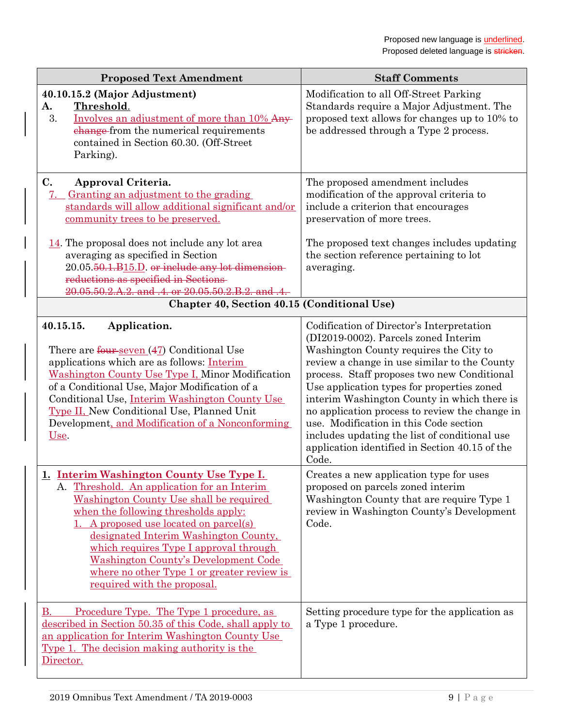| <b>Proposed Text Amendment</b>                                                                                                                                                                                                                                                                                                                                                                                                   | <b>Staff Comments</b>                                                                                                                                                                                                                                                                                                                                                                                                                                                                                                           |
|----------------------------------------------------------------------------------------------------------------------------------------------------------------------------------------------------------------------------------------------------------------------------------------------------------------------------------------------------------------------------------------------------------------------------------|---------------------------------------------------------------------------------------------------------------------------------------------------------------------------------------------------------------------------------------------------------------------------------------------------------------------------------------------------------------------------------------------------------------------------------------------------------------------------------------------------------------------------------|
| 40.10.15.2 (Major Adjustment)<br>Threshold.<br>A.<br>3.<br>Involves an adjustment of more than 10% Any-<br>change from the numerical requirements<br>contained in Section 60.30. (Off-Street<br>Parking).                                                                                                                                                                                                                        | Modification to all Off-Street Parking<br>Standards require a Major Adjustment. The<br>proposed text allows for changes up to 10% to<br>be addressed through a Type 2 process.                                                                                                                                                                                                                                                                                                                                                  |
| $\mathbf{C}$ .<br>Approval Criteria.<br>Granting an adjustment to the grading<br>7.<br>standards will allow additional significant and/or<br>community trees to be preserved.                                                                                                                                                                                                                                                    | The proposed amendment includes<br>modification of the approval criteria to<br>include a criterion that encourages<br>preservation of more trees.                                                                                                                                                                                                                                                                                                                                                                               |
| $14$ . The proposal does not include any lot area<br>averaging as specified in Section<br>20.05.50.1.B15.D. or include any lot dimension-<br>reductions as specified in Sections<br>20.05.50.2.A.2. and .4. or 20.05.50.2.B.2. and .4.                                                                                                                                                                                           | The proposed text changes includes updating<br>the section reference pertaining to lot<br>averaging.                                                                                                                                                                                                                                                                                                                                                                                                                            |
| Chapter 40, Section 40.15 (Conditional Use)                                                                                                                                                                                                                                                                                                                                                                                      |                                                                                                                                                                                                                                                                                                                                                                                                                                                                                                                                 |
| 40.15.15.<br>Application.<br>There are $f_{\text{out}}$ seven $(47)$ Conditional Use<br>applications which are as follows: Interim<br>Washington County Use Type I, Minor Modification<br>of a Conditional Use, Major Modification of a<br>Conditional Use, Interim Washington County Use<br>Type II, New Conditional Use, Planned Unit<br>Development, and Modification of a Nonconforming<br>Use.                              | Codification of Director's Interpretation<br>(DI2019-0002). Parcels zoned Interim<br>Washington County requires the City to<br>review a change in use similar to the County<br>process. Staff proposes two new Conditional<br>Use application types for properties zoned<br>interim Washington County in which there is<br>no application process to review the change in<br>use. Modification in this Code section<br>includes updating the list of conditional use<br>application identified in Section 40.15 of the<br>Code. |
| 1. Interim Washington County Use Type I.<br>A. Threshold. An application for an Interim<br>Washington County Use shall be required<br>when the following thresholds apply:<br>A proposed use located on parcel(s)<br>designated Interim Washington County,<br>which requires Type I approval through<br><b>Washington County's Development Code</b><br>where no other Type 1 or greater review is<br>required with the proposal. | Creates a new application type for uses<br>proposed on parcels zoned interim<br>Washington County that are require Type 1<br>review in Washington County's Development<br>Code.                                                                                                                                                                                                                                                                                                                                                 |
| Procedure Type. The Type 1 procedure, as<br>В.<br>described in Section 50.35 of this Code, shall apply to<br>an application for Interim Washington County Use<br><u>Type 1. The decision making authority is the</u><br>Director.                                                                                                                                                                                                | Setting procedure type for the application as<br>a Type 1 procedure.                                                                                                                                                                                                                                                                                                                                                                                                                                                            |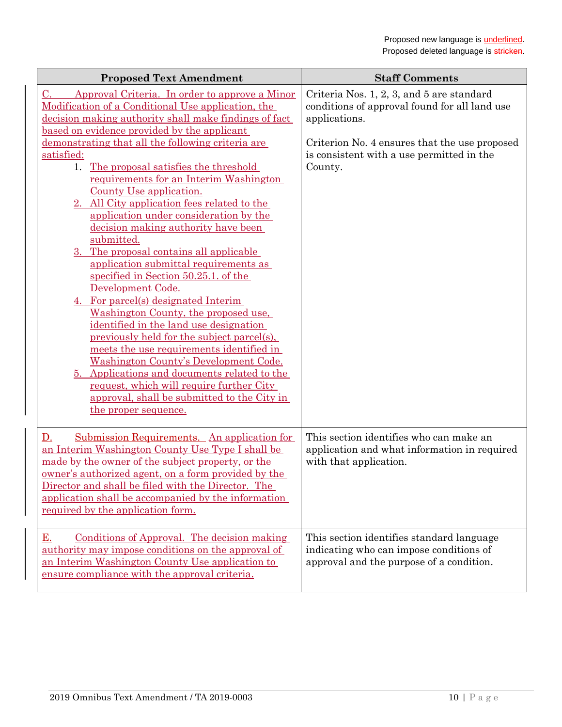| <b>Proposed Text Amendment</b>                                                                                                                                                                                                                                                                                                                                                                                                                                                                                                                                                                                                                                                                                                                                                                                                                                                                                      | <b>Staff Comments</b>                                                                                                            |
|---------------------------------------------------------------------------------------------------------------------------------------------------------------------------------------------------------------------------------------------------------------------------------------------------------------------------------------------------------------------------------------------------------------------------------------------------------------------------------------------------------------------------------------------------------------------------------------------------------------------------------------------------------------------------------------------------------------------------------------------------------------------------------------------------------------------------------------------------------------------------------------------------------------------|----------------------------------------------------------------------------------------------------------------------------------|
| Approval Criteria. In order to approve a Minor<br>C.<br>Modification of a Conditional Use application, the<br>decision making authority shall make findings of fact<br>based on evidence provided by the applicant                                                                                                                                                                                                                                                                                                                                                                                                                                                                                                                                                                                                                                                                                                  | Criteria Nos. 1, 2, 3, and 5 are standard<br>conditions of approval found for all land use<br>applications.                      |
| demonstrating that all the following criteria are<br>satisfied:<br>The proposal satisfies the threshold<br>1.<br>requirements for an Interim Washington<br>County Use application.<br>2. All City application fees related to the<br>application under consideration by the<br>decision making authority have been<br>submitted.<br>The proposal contains all applicable<br>3.<br>application submittal requirements as<br>specified in Section 50.25.1. of the<br>Development Code.<br>4. For parcel(s) designated Interim<br>Washington County, the proposed use,<br>identified in the land use designation<br>previously held for the subject parcel(s).<br>meets the use requirements identified in<br>Washington County's Development Code.<br>5. Applications and documents related to the<br>request, which will require further City<br>approval, shall be submitted to the City in<br>the proper sequence. | Criterion No. 4 ensures that the use proposed<br>is consistent with a use permitted in the<br>County.                            |
| Submission Requirements. An application for<br>D.<br>an Interim Washington County Use Type I shall be<br>made by the owner of the subject property, or the<br>owner's authorized agent, on a form provided by the<br>Director and shall be filed with the Director. The<br>application shall be accompanied by the information<br>required by the application form.                                                                                                                                                                                                                                                                                                                                                                                                                                                                                                                                                 | This section identifies who can make an<br>application and what information in required<br>with that application.                |
| Conditions of Approval. The decision making<br><u>E.</u><br>authority may impose conditions on the approval of<br>an Interim Washington County Use application to<br>ensure compliance with the approval criteria.                                                                                                                                                                                                                                                                                                                                                                                                                                                                                                                                                                                                                                                                                                  | This section identifies standard language<br>indicating who can impose conditions of<br>approval and the purpose of a condition. |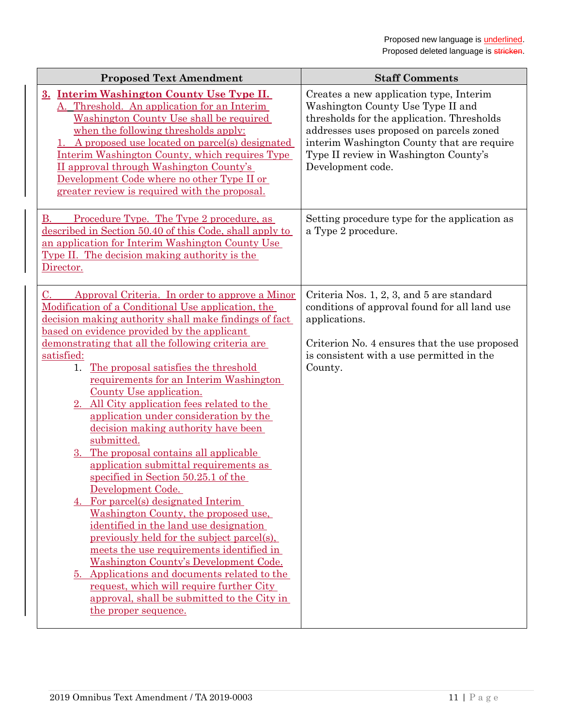| <b>Proposed Text Amendment</b>                                                                                                                                                                                                                                                                                                                                                                                                                                                                                                                                                                                                                                                                                                                                                                                                                                                                                                                                  | <b>Staff Comments</b>                                                                                                                                                                                                                                                              |
|-----------------------------------------------------------------------------------------------------------------------------------------------------------------------------------------------------------------------------------------------------------------------------------------------------------------------------------------------------------------------------------------------------------------------------------------------------------------------------------------------------------------------------------------------------------------------------------------------------------------------------------------------------------------------------------------------------------------------------------------------------------------------------------------------------------------------------------------------------------------------------------------------------------------------------------------------------------------|------------------------------------------------------------------------------------------------------------------------------------------------------------------------------------------------------------------------------------------------------------------------------------|
| 3. Interim Washington County Use Type II.<br>A. Threshold. An application for an Interim<br>Washington County Use shall be required<br>when the following thresholds apply:<br>A proposed use located on parcel(s) designated<br>Interim Washington County, which requires Type<br>II approval through Washington County's<br>Development Code where no other Type II or<br>greater review is required with the proposal.                                                                                                                                                                                                                                                                                                                                                                                                                                                                                                                                       | Creates a new application type, Interim<br>Washington County Use Type II and<br>thresholds for the application. Thresholds<br>addresses uses proposed on parcels zoned<br>interim Washington County that are require<br>Type II review in Washington County's<br>Development code. |
| Procedure Type. The Type 2 procedure, as<br>В.<br>described in Section 50.40 of this Code, shall apply to<br>an application for Interim Washington County Use<br>Type II. The decision making authority is the<br>Director.                                                                                                                                                                                                                                                                                                                                                                                                                                                                                                                                                                                                                                                                                                                                     | Setting procedure type for the application as<br>a Type 2 procedure.                                                                                                                                                                                                               |
| Approval Criteria. In order to approve a Minor<br>C.<br>Modification of a Conditional Use application, the<br>decision making authority shall make findings of fact<br>based on evidence provided by the applicant<br>demonstrating that all the following criteria are<br>satisfied:<br>The proposal satisfies the threshold<br>1.<br>requirements for an Interim Washington<br>County Use application.<br>All City application fees related to the<br>application under consideration by the<br>decision making authority have been<br>submitted.<br>3. The proposal contains all applicable<br>application submittal requirements as<br>specified in Section 50.25.1 of the<br>Development Code.<br>4. For parcel(s) designated Interim<br>Washington County, the proposed use,<br>identified in the land use designation<br>previously held for the subject parcel(s).<br>meets the use requirements identified in<br>Washington County's Development Code. | Criteria Nos. 1, 2, 3, and 5 are standard<br>conditions of approval found for all land use<br>applications.<br>Criterion No. 4 ensures that the use proposed<br>is consistent with a use permitted in the<br>County.                                                               |
| <u>5. Applications and documents related to the</u><br>request, which will require further City<br>approval, shall be submitted to the City in<br>the proper sequence.                                                                                                                                                                                                                                                                                                                                                                                                                                                                                                                                                                                                                                                                                                                                                                                          |                                                                                                                                                                                                                                                                                    |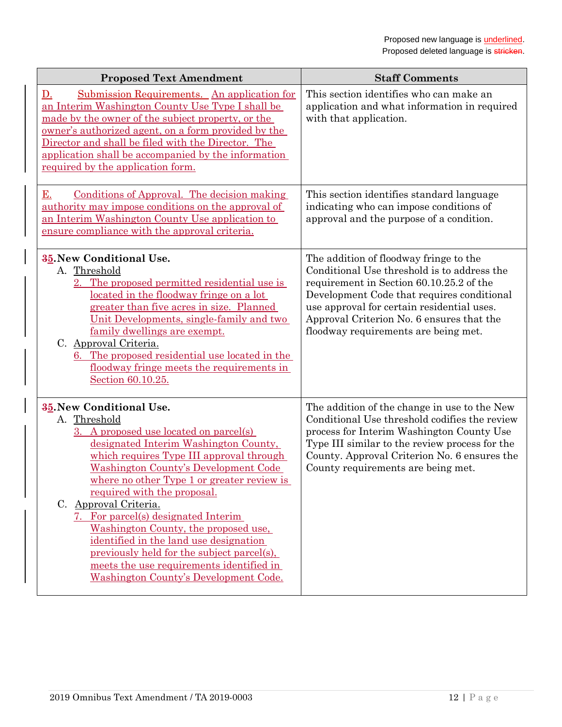| <b>Proposed Text Amendment</b>                                                                                                                                                                                                                                                                                                                                                                                                                                                                                                                                                                  | <b>Staff Comments</b>                                                                                                                                                                                                                                                                                              |
|-------------------------------------------------------------------------------------------------------------------------------------------------------------------------------------------------------------------------------------------------------------------------------------------------------------------------------------------------------------------------------------------------------------------------------------------------------------------------------------------------------------------------------------------------------------------------------------------------|--------------------------------------------------------------------------------------------------------------------------------------------------------------------------------------------------------------------------------------------------------------------------------------------------------------------|
| Submission Requirements. An application for<br>$\mathbf{D}$ .<br>an Interim Washington County Use Type I shall be<br>made by the owner of the subject property, or the<br>owner's authorized agent, on a form provided by the<br>Director and shall be filed with the Director. The<br>application shall be accompanied by the information<br>required by the application form.                                                                                                                                                                                                                 | This section identifies who can make an<br>application and what information in required<br>with that application.                                                                                                                                                                                                  |
| E.<br>Conditions of Approval. The decision making<br>authority may impose conditions on the approval of<br>an Interim Washington County Use application to<br>ensure compliance with the approval criteria.                                                                                                                                                                                                                                                                                                                                                                                     | This section identifies standard language<br>indicating who can impose conditions of<br>approval and the purpose of a condition.                                                                                                                                                                                   |
| 35. New Conditional Use.<br>A. Threshold<br>2. The proposed permitted residential use is<br>located in the floodway fringe on a lot<br>greater than five acres in size. Planned<br>Unit Developments, single-family and two<br>family dwellings are exempt.<br>C. Approval Criteria.<br>6. The proposed residential use located in the<br>floodway fringe meets the requirements in<br>Section 60.10.25.                                                                                                                                                                                        | The addition of floodway fringe to the<br>Conditional Use threshold is to address the<br>requirement in Section 60.10.25.2 of the<br>Development Code that requires conditional<br>use approval for certain residential uses.<br>Approval Criterion No. 6 ensures that the<br>floodway requirements are being met. |
| <b>35. New Conditional Use.</b><br>A. Threshold<br>3. A proposed use located on parcel(s)<br>designated Interim Washington County,<br>which requires Type III approval through<br><b>Washington County's Development Code</b><br>where no other Type 1 or greater review is<br>required with the proposal.<br>C. Approval Criteria.<br>7. For parcel(s) designated Interim<br>Washington County, the proposed use,<br>identified in the land use designation<br>previously held for the subject parcel(s),<br>meets the use requirements identified in<br>Washington County's Development Code. | The addition of the change in use to the New<br>Conditional Use threshold codifies the review<br>process for Interim Washington County Use<br>Type III similar to the review process for the<br>County. Approval Criterion No. 6 ensures the<br>County requirements are being met.                                 |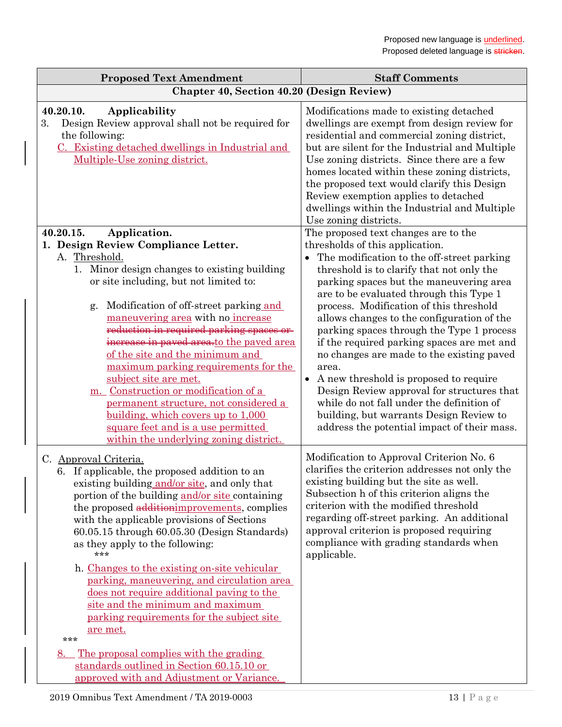| <b>Staff Comments</b>                                                                                                                                                                                                                                                                                                                                                                                                                                                                                                                                                                                                                                                                     |
|-------------------------------------------------------------------------------------------------------------------------------------------------------------------------------------------------------------------------------------------------------------------------------------------------------------------------------------------------------------------------------------------------------------------------------------------------------------------------------------------------------------------------------------------------------------------------------------------------------------------------------------------------------------------------------------------|
| Chapter 40, Section 40.20 (Design Review)                                                                                                                                                                                                                                                                                                                                                                                                                                                                                                                                                                                                                                                 |
| Modifications made to existing detached<br>dwellings are exempt from design review for<br>residential and commercial zoning district,<br>but are silent for the Industrial and Multiple<br>Use zoning districts. Since there are a few<br>homes located within these zoning districts,<br>the proposed text would clarify this Design<br>Review exemption applies to detached<br>dwellings within the Industrial and Multiple<br>Use zoning districts.                                                                                                                                                                                                                                    |
| The proposed text changes are to the                                                                                                                                                                                                                                                                                                                                                                                                                                                                                                                                                                                                                                                      |
| thresholds of this application.<br>The modification to the off-street parking<br>threshold is to clarify that not only the<br>parking spaces but the maneuvering area<br>are to be evaluated through this Type 1<br>process. Modification of this threshold<br>allows changes to the configuration of the<br>parking spaces through the Type 1 process<br>if the required parking spaces are met and<br>no changes are made to the existing paved<br>area.<br>A new threshold is proposed to require<br>Design Review approval for structures that<br>while do not fall under the definition of<br>building, but warrants Design Review to<br>address the potential impact of their mass. |
| Modification to Approval Criterion No. 6<br>clarifies the criterion addresses not only the<br>existing building but the site as well.<br>Subsection h of this criterion aligns the<br>criterion with the modified threshold<br>regarding off-street parking. An additional<br>approval criterion is proposed requiring<br>compliance with grading standards when<br>applicable.                                                                                                                                                                                                                                                                                                           |
|                                                                                                                                                                                                                                                                                                                                                                                                                                                                                                                                                                                                                                                                                           |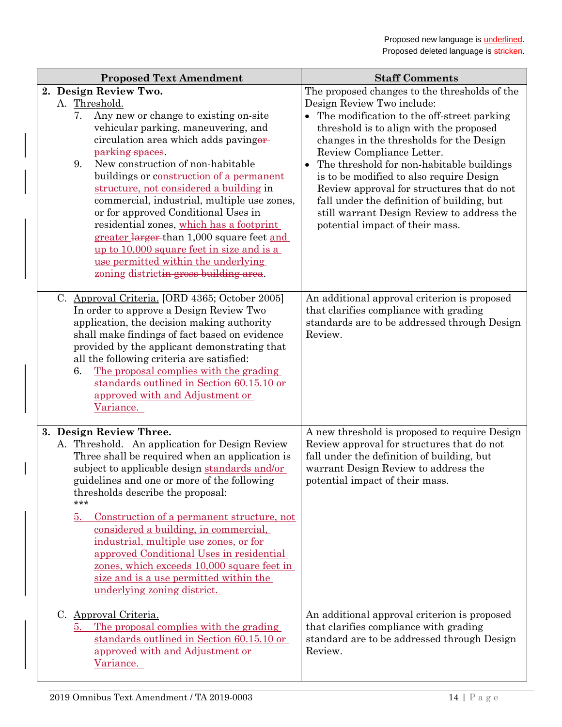| <b>Proposed Text Amendment</b>                                                                                                                                                                                                                                                                                                                                                                                                                                                                                                                                                                                                          | <b>Staff Comments</b>                                                                                                                                                                                                                                                                                                                                                                                                                                                                                                                         |
|-----------------------------------------------------------------------------------------------------------------------------------------------------------------------------------------------------------------------------------------------------------------------------------------------------------------------------------------------------------------------------------------------------------------------------------------------------------------------------------------------------------------------------------------------------------------------------------------------------------------------------------------|-----------------------------------------------------------------------------------------------------------------------------------------------------------------------------------------------------------------------------------------------------------------------------------------------------------------------------------------------------------------------------------------------------------------------------------------------------------------------------------------------------------------------------------------------|
| 2. Design Review Two.<br>A. Threshold.<br>Any new or change to existing on-site<br>7.<br>vehicular parking, maneuvering, and<br>circulation area which adds pavingor-<br>parking spaces.<br>New construction of non-habitable<br>9.<br>buildings or construction of a permanent<br>structure, not considered a building in<br>commercial, industrial, multiple use zones,<br>or for approved Conditional Uses in<br>residential zones, which has a footprint<br>greater larger than 1,000 square feet and<br>up to 10,000 square feet in size and is a<br>use permitted within the underlying<br>zoning districtin gross building area. | The proposed changes to the thresholds of the<br>Design Review Two include:<br>The modification to the off-street parking<br>$\bullet$<br>threshold is to align with the proposed<br>changes in the thresholds for the Design<br>Review Compliance Letter.<br>The threshold for non-habitable buildings<br>$\bullet$<br>is to be modified to also require Design<br>Review approval for structures that do not<br>fall under the definition of building, but<br>still warrant Design Review to address the<br>potential impact of their mass. |
| C. Approval Criteria. [ORD 4365; October 2005]<br>In order to approve a Design Review Two<br>application, the decision making authority<br>shall make findings of fact based on evidence<br>provided by the applicant demonstrating that<br>all the following criteria are satisfied:<br>The proposal complies with the grading<br>6.<br>standards outlined in Section 60.15.10 or<br>approved with and Adjustment or<br>Variance.                                                                                                                                                                                                      | An additional approval criterion is proposed<br>that clarifies compliance with grading<br>standards are to be addressed through Design<br>Review.                                                                                                                                                                                                                                                                                                                                                                                             |
| 3. Design Review Three.<br>A. Threshold. An application for Design Review<br>Three shall be required when an application is<br>subject to applicable design standards and/or<br>guidelines and one or more of the following<br>thresholds describe the proposal:<br>***<br>Construction of a permanent structure, not<br>5.<br>considered a building, in commercial,<br>industrial, multiple use zones, or for<br>approved Conditional Uses in residential<br>zones, which exceeds 10,000 square feet in<br>size and is a use permitted within the<br>underlying zoning district.<br>C. Approval Criteria.                              | A new threshold is proposed to require Design<br>Review approval for structures that do not<br>fall under the definition of building, but<br>warrant Design Review to address the<br>potential impact of their mass.<br>An additional approval criterion is proposed                                                                                                                                                                                                                                                                          |
| The proposal complies with the grading<br>5.<br>standards outlined in Section 60.15.10 or<br>approved with and Adjustment or<br>Variance.                                                                                                                                                                                                                                                                                                                                                                                                                                                                                               | that clarifies compliance with grading<br>standard are to be addressed through Design<br>Review.                                                                                                                                                                                                                                                                                                                                                                                                                                              |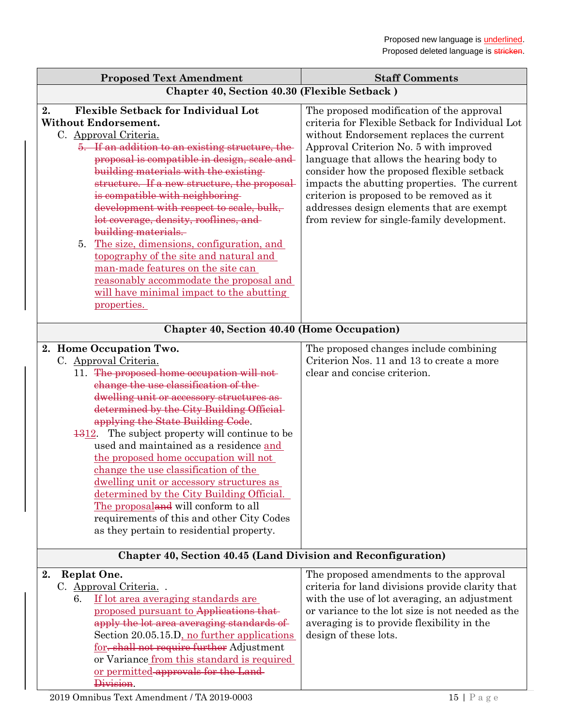| <b>Proposed Text Amendment</b>                                                                                                                                                                                                                                                                                                                                                                                                                                                                                                                                                                                                                                                                 | <b>Staff Comments</b>                                                                                                                                                                                                                                                                                                                                                                                                                                                 |  |
|------------------------------------------------------------------------------------------------------------------------------------------------------------------------------------------------------------------------------------------------------------------------------------------------------------------------------------------------------------------------------------------------------------------------------------------------------------------------------------------------------------------------------------------------------------------------------------------------------------------------------------------------------------------------------------------------|-----------------------------------------------------------------------------------------------------------------------------------------------------------------------------------------------------------------------------------------------------------------------------------------------------------------------------------------------------------------------------------------------------------------------------------------------------------------------|--|
| Chapter 40, Section 40.30 (Flexible Setback)                                                                                                                                                                                                                                                                                                                                                                                                                                                                                                                                                                                                                                                   |                                                                                                                                                                                                                                                                                                                                                                                                                                                                       |  |
| <b>Flexible Setback for Individual Lot</b><br>2.<br><b>Without Endorsement.</b><br>C. Approval Criteria.<br>5. If an addition to an existing structure, the<br>proposal is compatible in design, scale and<br>building materials with the existing-<br>structure. If a new structure, the proposal<br>is compatible with neighboring<br>development with respect to scale, bulk,<br>lot coverage, density, rooflines, and<br>building materials.<br><u>The size, dimensions, configuration, and</u><br>5.<br>topography of the site and natural and<br>man-made features on the site can<br>reasonably accommodate the proposal and<br>will have minimal impact to the abutting<br>properties. | The proposed modification of the approval<br>criteria for Flexible Setback for Individual Lot<br>without Endorsement replaces the current<br>Approval Criterion No. 5 with improved<br>language that allows the hearing body to<br>consider how the proposed flexible setback<br>impacts the abutting properties. The current<br>criterion is proposed to be removed as it<br>addresses design elements that are exempt<br>from review for single-family development. |  |
| <b>Chapter 40, Section 40.40 (Home Occupation)</b>                                                                                                                                                                                                                                                                                                                                                                                                                                                                                                                                                                                                                                             |                                                                                                                                                                                                                                                                                                                                                                                                                                                                       |  |
| 2. Home Occupation Two.<br>C. Approval Criteria.<br>11. The proposed home occupation will not-<br>change the use classification of the-<br>dwelling unit or accessory structures as-<br>determined by the City Building Official<br>applying the State Building Code.<br>$\frac{1312}{2}$ . The subject property will continue to be<br>used and maintained as a residence and<br>the proposed home occupation will not<br>change the use classification of the<br>dwelling unit or accessory structures as<br>determined by the City Building Official.<br>The proposaland will conform to all<br>requirements of this and other City Codes<br>as they pertain to residential property.       | The proposed changes include combining<br>Criterion Nos. 11 and 13 to create a more<br>clear and concise criterion.                                                                                                                                                                                                                                                                                                                                                   |  |
| Chapter 40, Section 40.45 (Land Division and Reconfiguration)                                                                                                                                                                                                                                                                                                                                                                                                                                                                                                                                                                                                                                  |                                                                                                                                                                                                                                                                                                                                                                                                                                                                       |  |
| <b>Replat One.</b><br>2.<br>C. Approval Criteria.<br>If lot area averaging standards are<br>6.<br>proposed pursuant to Applications that<br>apply the lot area averaging standards of<br>Section 20.05.15.D, no further applications<br>for, shall not require further Adjustment<br>or Variance from this standard is required                                                                                                                                                                                                                                                                                                                                                                | The proposed amendments to the approval<br>criteria for land divisions provide clarity that<br>with the use of lot averaging, an adjustment<br>or variance to the lot size is not needed as the<br>averaging is to provide flexibility in the<br>design of these lots.                                                                                                                                                                                                |  |

Division.

or permitted approvals for the Land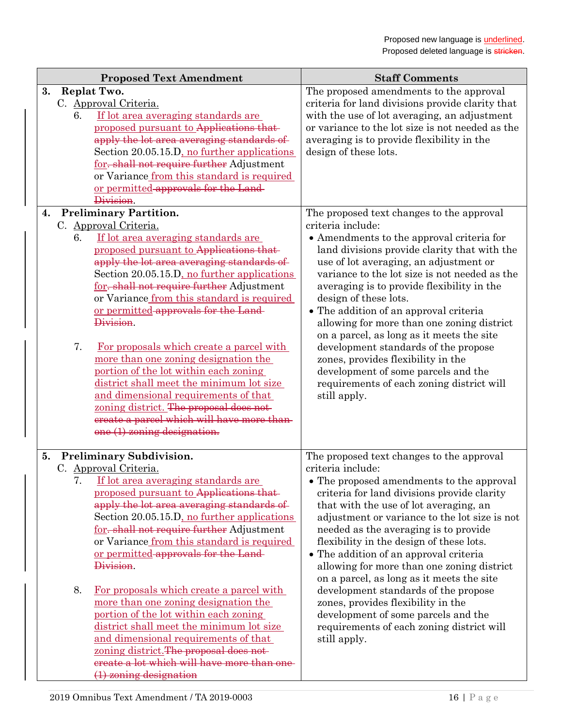| <b>Proposed Text Amendment</b>                                                                                                                                                                                                                                                                                                                                                                                                                                                                                                                                                                                                                                                                                                              | <b>Staff Comments</b>                                                                                                                                                                                                                                                                                                                                                                                                                                                                                                                                                                                                                                             |
|---------------------------------------------------------------------------------------------------------------------------------------------------------------------------------------------------------------------------------------------------------------------------------------------------------------------------------------------------------------------------------------------------------------------------------------------------------------------------------------------------------------------------------------------------------------------------------------------------------------------------------------------------------------------------------------------------------------------------------------------|-------------------------------------------------------------------------------------------------------------------------------------------------------------------------------------------------------------------------------------------------------------------------------------------------------------------------------------------------------------------------------------------------------------------------------------------------------------------------------------------------------------------------------------------------------------------------------------------------------------------------------------------------------------------|
| 3.<br>Replat Two.<br>C. Approval Criteria.<br>If lot area averaging standards are<br>6.<br>proposed pursuant to Applications that<br>apply the lot area averaging standards of<br>Section 20.05.15.D, no further applications<br>for, shall not require further Adjustment<br>or Variance from this standard is required<br>or permitted approvals for the Land-<br>Division.                                                                                                                                                                                                                                                                                                                                                               | The proposed amendments to the approval<br>criteria for land divisions provide clarity that<br>with the use of lot averaging, an adjustment<br>or variance to the lot size is not needed as the<br>averaging is to provide flexibility in the<br>design of these lots.                                                                                                                                                                                                                                                                                                                                                                                            |
| <b>Preliminary Partition.</b><br>4.                                                                                                                                                                                                                                                                                                                                                                                                                                                                                                                                                                                                                                                                                                         | The proposed text changes to the approval                                                                                                                                                                                                                                                                                                                                                                                                                                                                                                                                                                                                                         |
| C. Approval Criteria.<br>If lot area averaging standards are<br>6.<br>proposed pursuant to Applications that<br>apply the lot area averaging standards of<br>Section 20.05.15.D, no further applications<br>for, shall not require further Adjustment<br>or Variance from this standard is required<br>or permitted approvals for the Land-<br>Division.<br>7.<br>For proposals which create a parcel with<br>more than one zoning designation the<br>portion of the lot within each zoning<br>district shall meet the minimum lot size<br>and dimensional requirements of that<br>zoning district. The proposal does not-<br>ereate a parcel which will have more than-<br>$one (1)$ zoning designation.                                   | criteria include:<br>• Amendments to the approval criteria for<br>land divisions provide clarity that with the<br>use of lot averaging, an adjustment or<br>variance to the lot size is not needed as the<br>averaging is to provide flexibility in the<br>design of these lots.<br>• The addition of an approval criteria<br>allowing for more than one zoning district<br>on a parcel, as long as it meets the site<br>development standards of the propose<br>zones, provides flexibility in the<br>development of some parcels and the<br>requirements of each zoning district will<br>still apply.                                                           |
| <b>Preliminary Subdivision.</b><br>5.<br>C. Approval Criteria.<br>7. If lot area averaging standards are<br>proposed pursuant to Applications that-<br>apply the lot area averaging standards of<br>Section 20.05.15.D, no further applications<br>for, shall not require further Adjustment<br>or Variance from this standard is required<br>or permitted approvals for the Land-<br>Division.<br>8.<br>For proposals which create a parcel with<br>more than one zoning designation the<br>portion of the lot within each zoning<br>district shall meet the minimum lot size<br>and dimensional requirements of that<br>zoning district. The proposal does not-<br>ereate a lot which will have more than one<br>$(1)$ zoning designation | The proposed text changes to the approval<br>criteria include:<br>• The proposed amendments to the approval<br>criteria for land divisions provide clarity<br>that with the use of lot averaging, an<br>adjustment or variance to the lot size is not<br>needed as the averaging is to provide<br>flexibility in the design of these lots.<br>• The addition of an approval criteria<br>allowing for more than one zoning district<br>on a parcel, as long as it meets the site<br>development standards of the propose<br>zones, provides flexibility in the<br>development of some parcels and the<br>requirements of each zoning district will<br>still apply. |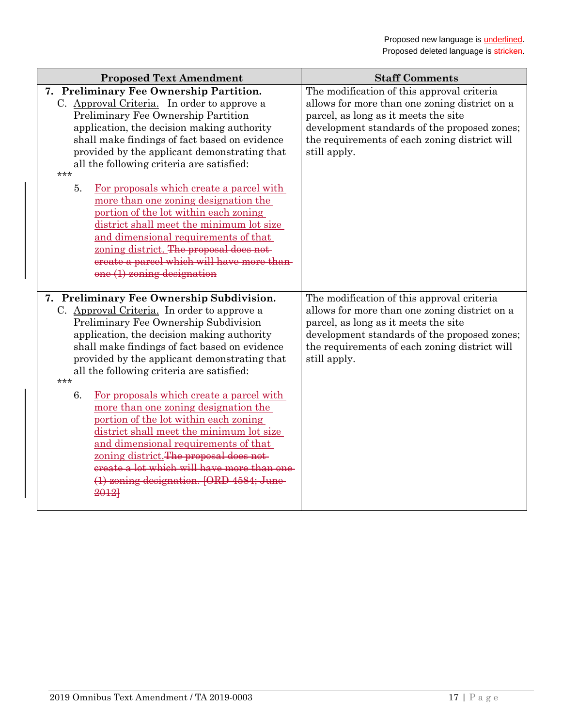| <b>Proposed Text Amendment</b>                                                                                                                                                                                                                                                                                                                                                                                                                                                                                                                                                                                                                                                                            | <b>Staff Comments</b>                                                                                                                                                                                                                                |
|-----------------------------------------------------------------------------------------------------------------------------------------------------------------------------------------------------------------------------------------------------------------------------------------------------------------------------------------------------------------------------------------------------------------------------------------------------------------------------------------------------------------------------------------------------------------------------------------------------------------------------------------------------------------------------------------------------------|------------------------------------------------------------------------------------------------------------------------------------------------------------------------------------------------------------------------------------------------------|
| 7. Preliminary Fee Ownership Partition.<br>C. Approval Criteria. In order to approve a<br>Preliminary Fee Ownership Partition<br>application, the decision making authority<br>shall make findings of fact based on evidence<br>provided by the applicant demonstrating that<br>all the following criteria are satisfied:<br>***<br>5.<br>For proposals which create a parcel with<br>more than one zoning designation the<br>portion of the lot within each zoning<br>district shall meet the minimum lot size<br>and dimensional requirements of that<br>zoning district. The proposal does not-<br>ereate a parcel which will have more than-<br>$one (1)$ zoning designation                          | The modification of this approval criteria<br>allows for more than one zoning district on a<br>parcel, as long as it meets the site<br>development standards of the proposed zones;<br>the requirements of each zoning district will<br>still apply. |
| 7. Preliminary Fee Ownership Subdivision.<br>C. Approval Criteria. In order to approve a<br>Preliminary Fee Ownership Subdivision<br>application, the decision making authority<br>shall make findings of fact based on evidence<br>provided by the applicant demonstrating that<br>all the following criteria are satisfied:<br>***<br>6.<br>For proposals which create a parcel with<br>more than one zoning designation the<br>portion of the lot within each zoning<br>district shall meet the minimum lot size<br>and dimensional requirements of that<br>zoning district. The proposal does not-<br>ereate a lot which will have more than one<br>(1) zoning designation. [ORD 4584; June-<br>2012] | The modification of this approval criteria<br>allows for more than one zoning district on a<br>parcel, as long as it meets the site<br>development standards of the proposed zones;<br>the requirements of each zoning district will<br>still apply. |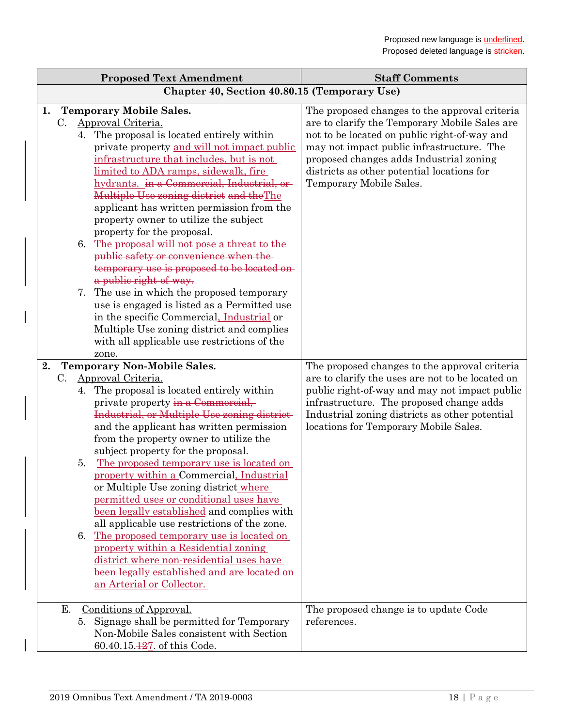| <b>Proposed Text Amendment</b>                                                                                                                                                                                                                                                                                                                                                                                                                                                                                                                                                                                                                                                                                                                                                                                                                                                    | <b>Staff Comments</b>                                                                                                                                                                                                                                                                                           |  |
|-----------------------------------------------------------------------------------------------------------------------------------------------------------------------------------------------------------------------------------------------------------------------------------------------------------------------------------------------------------------------------------------------------------------------------------------------------------------------------------------------------------------------------------------------------------------------------------------------------------------------------------------------------------------------------------------------------------------------------------------------------------------------------------------------------------------------------------------------------------------------------------|-----------------------------------------------------------------------------------------------------------------------------------------------------------------------------------------------------------------------------------------------------------------------------------------------------------------|--|
| Chapter 40, Section 40.80.15 (Temporary Use)                                                                                                                                                                                                                                                                                                                                                                                                                                                                                                                                                                                                                                                                                                                                                                                                                                      |                                                                                                                                                                                                                                                                                                                 |  |
| <b>Temporary Mobile Sales.</b><br>1.<br>Approval Criteria.<br>C.<br>4. The proposal is located entirely within<br>private property and will not impact public<br>infrastructure that includes, but is not<br>limited to ADA ramps, sidewalk, fire<br>hydrants. in a Commercial, Industrial, or-<br>Multiple Use zoning district and theThe<br>applicant has written permission from the<br>property owner to utilize the subject<br>property for the proposal.<br>6. The proposal will not pose a threat to the<br>public safety or convenience when the-<br>temporary use is proposed to be located on-<br>a public right of way.<br>7. The use in which the proposed temporary<br>use is engaged is listed as a Permitted use<br>in the specific Commercial, Industrial or<br>Multiple Use zoning district and complies<br>with all applicable use restrictions of the<br>zone. | The proposed changes to the approval criteria<br>are to clarify the Temporary Mobile Sales are<br>not to be located on public right-of-way and<br>may not impact public infrastructure. The<br>proposed changes adds Industrial zoning<br>districts as other potential locations for<br>Temporary Mobile Sales. |  |
| <b>Temporary Non-Mobile Sales.</b><br>2.<br>C.<br>Approval Criteria.<br>4. The proposal is located entirely within<br>private property in a Commercial,<br>Industrial, or Multiple Use zoning district-<br>and the applicant has written permission<br>from the property owner to utilize the<br>subject property for the proposal.<br>The proposed temporary use is located on<br>5.<br>property within a Commercial, Industrial<br>or Multiple Use zoning district where<br>permitted uses or conditional uses have<br>been legally established and complies with<br>all applicable use restrictions of the zone.<br>The proposed temporary use is located on<br>6.<br>property within a Residential zoning<br>district where non-residential uses have<br>been legally established and are located on<br>an Arterial or Collector.                                             | The proposed changes to the approval criteria<br>are to clarify the uses are not to be located on<br>public right-of-way and may not impact public<br>infrastructure. The proposed change adds<br>Industrial zoning districts as other potential<br>locations for Temporary Mobile Sales.                       |  |
| Conditions of Approval.<br>Е.<br>Signage shall be permitted for Temporary<br>5.<br>Non-Mobile Sales consistent with Section<br>60.40.15.127. of this Code.                                                                                                                                                                                                                                                                                                                                                                                                                                                                                                                                                                                                                                                                                                                        | The proposed change is to update Code<br>references.                                                                                                                                                                                                                                                            |  |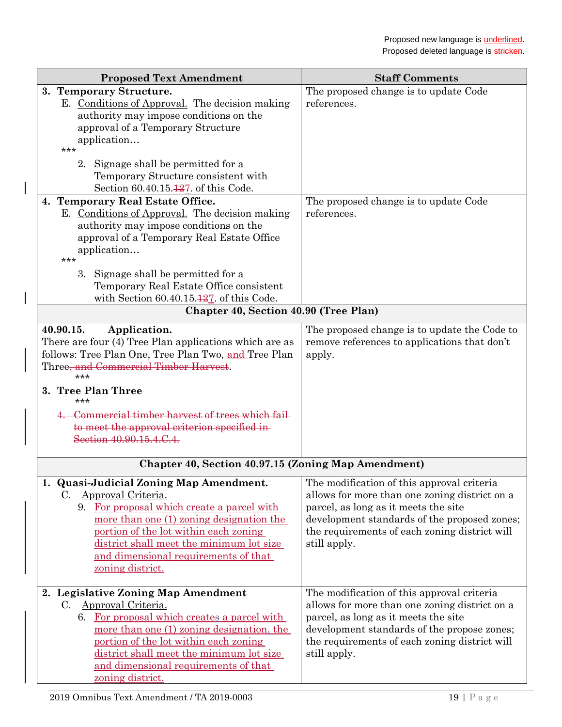| <b>Proposed Text Amendment</b>                                                                                                                                                                                                                                                                                                                                                                                                                                                                          | <b>Staff Comments</b>                                                                                                                                                                                                                                |
|---------------------------------------------------------------------------------------------------------------------------------------------------------------------------------------------------------------------------------------------------------------------------------------------------------------------------------------------------------------------------------------------------------------------------------------------------------------------------------------------------------|------------------------------------------------------------------------------------------------------------------------------------------------------------------------------------------------------------------------------------------------------|
| 3. Temporary Structure.<br>E. Conditions of Approval. The decision making<br>authority may impose conditions on the<br>approval of a Temporary Structure<br>application<br>***<br>2. Signage shall be permitted for a<br>Temporary Structure consistent with<br>Section 60.40.15.127. of this Code.<br>4. Temporary Real Estate Office.<br>E. Conditions of Approval. The decision making<br>authority may impose conditions on the<br>approval of a Temporary Real Estate Office<br>application<br>*** | The proposed change is to update Code<br>references.<br>The proposed change is to update Code<br>references.                                                                                                                                         |
| 3. Signage shall be permitted for a<br>Temporary Real Estate Office consistent<br>with Section $60.40.15.\overline{427}$ . of this Code.                                                                                                                                                                                                                                                                                                                                                                |                                                                                                                                                                                                                                                      |
| Chapter 40, Section 40.90 (Tree Plan)                                                                                                                                                                                                                                                                                                                                                                                                                                                                   |                                                                                                                                                                                                                                                      |
| 40.90.15.<br>Application.<br>There are four (4) Tree Plan applications which are as<br>follows: Tree Plan One, Tree Plan Two, and Tree Plan<br>Three, and Commercial Timber Harvest.<br>***<br>3. Tree Plan Three<br>***<br>Commercial timber harvest of trees which fail<br>to meet the approval criterion specified in-<br>Section 40.90.15.4.C.4.                                                                                                                                                    | The proposed change is to update the Code to<br>remove references to applications that don't<br>apply.                                                                                                                                               |
| Chapter 40, Section 40.97.15 (Zoning Map Amendment)                                                                                                                                                                                                                                                                                                                                                                                                                                                     |                                                                                                                                                                                                                                                      |
| 1. Quasi-Judicial Zoning Map Amendment.<br>Approval Criteria.<br>C.<br>9. For proposal which create a parcel with<br>more than one (1) zoning designation the<br>portion of the lot within each zoning<br>district shall meet the minimum lot size<br>and dimensional requirements of that<br>zoning district.                                                                                                                                                                                          | The modification of this approval criteria<br>allows for more than one zoning district on a<br>parcel, as long as it meets the site<br>development standards of the proposed zones;<br>the requirements of each zoning district will<br>still apply. |
| 2. Legislative Zoning Map Amendment<br><u>Approval Criteria.</u><br>$C_{\cdot}$<br>6. For proposal which creates a parcel with<br>more than one (1) zoning designation, the<br>portion of the lot within each zoning<br>district shall meet the minimum lot size<br>and dimensional requirements of that<br>zoning district.                                                                                                                                                                            | The modification of this approval criteria<br>allows for more than one zoning district on a<br>parcel, as long as it meets the site<br>development standards of the propose zones;<br>the requirements of each zoning district will<br>still apply.  |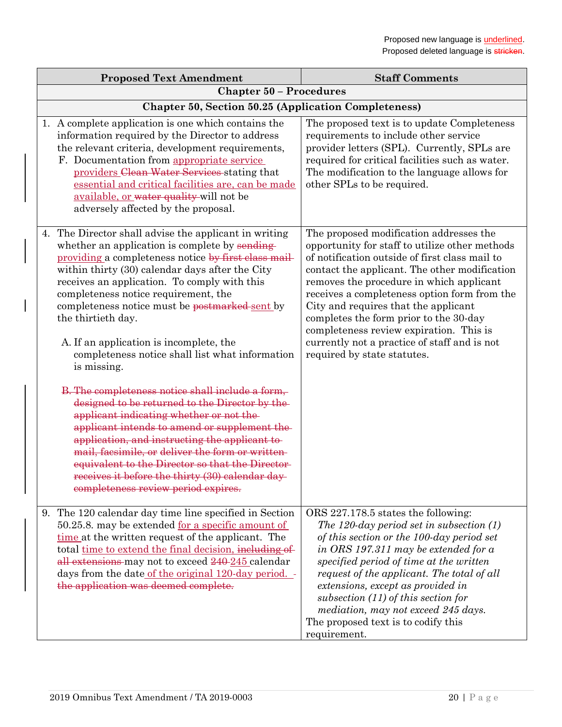| <b>Proposed Text Amendment</b>                                                                                                                                                                                                                                                                                                                                                                                                                                                                                                                                                                                                                                                                                                                                                                                                                                                                                                                         | <b>Staff Comments</b>                                                                                                                                                                                                                                                                                                                                                                                                                                                                                |  |
|--------------------------------------------------------------------------------------------------------------------------------------------------------------------------------------------------------------------------------------------------------------------------------------------------------------------------------------------------------------------------------------------------------------------------------------------------------------------------------------------------------------------------------------------------------------------------------------------------------------------------------------------------------------------------------------------------------------------------------------------------------------------------------------------------------------------------------------------------------------------------------------------------------------------------------------------------------|------------------------------------------------------------------------------------------------------------------------------------------------------------------------------------------------------------------------------------------------------------------------------------------------------------------------------------------------------------------------------------------------------------------------------------------------------------------------------------------------------|--|
| <b>Chapter 50 - Procedures</b>                                                                                                                                                                                                                                                                                                                                                                                                                                                                                                                                                                                                                                                                                                                                                                                                                                                                                                                         |                                                                                                                                                                                                                                                                                                                                                                                                                                                                                                      |  |
| <b>Chapter 50, Section 50.25 (Application Completeness)</b>                                                                                                                                                                                                                                                                                                                                                                                                                                                                                                                                                                                                                                                                                                                                                                                                                                                                                            |                                                                                                                                                                                                                                                                                                                                                                                                                                                                                                      |  |
| 1. A complete application is one which contains the<br>information required by the Director to address<br>the relevant criteria, development requirements,<br>F. Documentation from appropriate service<br>providers Clean Water Services stating that<br>essential and critical facilities are, can be made<br>available, or water quality will not be<br>adversely affected by the proposal.                                                                                                                                                                                                                                                                                                                                                                                                                                                                                                                                                         | The proposed text is to update Completeness<br>requirements to include other service<br>provider letters (SPL). Currently, SPLs are<br>required for critical facilities such as water.<br>The modification to the language allows for<br>other SPLs to be required.                                                                                                                                                                                                                                  |  |
| 4. The Director shall advise the applicant in writing<br>whether an application is complete by sending-<br>providing a completeness notice by first class mail-<br>within thirty (30) calendar days after the City<br>receives an application. To comply with this<br>completeness notice requirement, the<br>completeness notice must be postmarked sent by<br>the thirtieth day.<br>A. If an application is incomplete, the<br>completeness notice shall list what information<br>is missing.<br>B. The completeness notice shall include a form,<br>designed to be returned to the Director by the-<br>applicant indicating whether or not the<br>applicant intends to amend or supplement the<br>application, and instructing the applicant to-<br>mail, facsimile, or deliver the form or written-<br>equivalent to the Director so that the Director-<br>receives it before the thirty (30) calendar day-<br>completeness review period expires. | The proposed modification addresses the<br>opportunity for staff to utilize other methods<br>of notification outside of first class mail to<br>contact the applicant. The other modification<br>removes the procedure in which applicant<br>receives a completeness option form from the<br>City and requires that the applicant<br>completes the form prior to the 30-day<br>completeness review expiration. This is<br>currently not a practice of staff and is not<br>required by state statutes. |  |
| 9. The 120 calendar day time line specified in Section<br>50.25.8. may be extended <u>for a specific amount of</u><br>time at the written request of the applicant. The<br>total time to extend the final decision, including of<br>all extensions may not to exceed 240-245 calendar<br>days from the date of the original 120-day period. -<br>the application was deemed complete.                                                                                                                                                                                                                                                                                                                                                                                                                                                                                                                                                                  | ORS 227.178.5 states the following:<br>The 120-day period set in subsection $(1)$<br>of this section or the $100$ -day period set<br>in ORS 197.311 may be extended for a<br>specified period of time at the written<br>request of the applicant. The total of all<br>extensions, except as provided in<br>subsection $(11)$ of this section for<br>mediation, may not exceed 245 days.<br>The proposed text is to codify this<br>requirement.                                                       |  |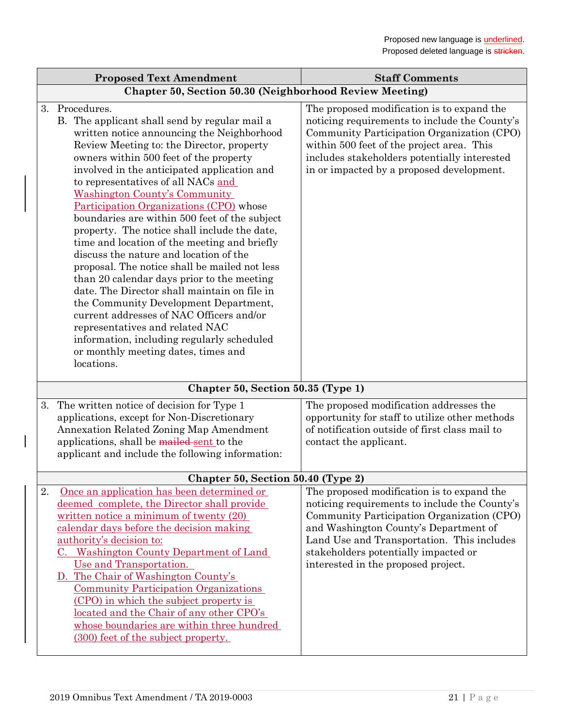| <b>Proposed Text Amendment</b>                                                                                                                                                                                                                                                                                                                                                                                                                                                                                                                                                                                                                                                                                                                                                                                                                                                                                                                    | <b>Staff Comments</b>                                                                                                                                                                                                                                                                                           |
|---------------------------------------------------------------------------------------------------------------------------------------------------------------------------------------------------------------------------------------------------------------------------------------------------------------------------------------------------------------------------------------------------------------------------------------------------------------------------------------------------------------------------------------------------------------------------------------------------------------------------------------------------------------------------------------------------------------------------------------------------------------------------------------------------------------------------------------------------------------------------------------------------------------------------------------------------|-----------------------------------------------------------------------------------------------------------------------------------------------------------------------------------------------------------------------------------------------------------------------------------------------------------------|
| Chapter 50, Section 50.30 (Neighborhood Review Meeting)                                                                                                                                                                                                                                                                                                                                                                                                                                                                                                                                                                                                                                                                                                                                                                                                                                                                                           |                                                                                                                                                                                                                                                                                                                 |
| 3. Procedures.<br>B. The applicant shall send by regular mail a<br>written notice announcing the Neighborhood<br>Review Meeting to: the Director, property<br>owners within 500 feet of the property<br>involved in the anticipated application and<br>to representatives of all NACs and<br><b>Washington County's Community</b><br>Participation Organizations (CPO) whose<br>boundaries are within 500 feet of the subject<br>property. The notice shall include the date,<br>time and location of the meeting and briefly<br>discuss the nature and location of the<br>proposal. The notice shall be mailed not less<br>than 20 calendar days prior to the meeting<br>date. The Director shall maintain on file in<br>the Community Development Department,<br>current addresses of NAC Officers and/or<br>representatives and related NAC<br>information, including regularly scheduled<br>or monthly meeting dates, times and<br>locations. | The proposed modification is to expand the<br>noticing requirements to include the County's<br>Community Participation Organization (CPO)<br>within 500 feet of the project area. This<br>includes stakeholders potentially interested<br>in or impacted by a proposed development.                             |
| Chapter 50, Section 50.35 (Type 1)                                                                                                                                                                                                                                                                                                                                                                                                                                                                                                                                                                                                                                                                                                                                                                                                                                                                                                                |                                                                                                                                                                                                                                                                                                                 |
| The written notice of decision for Type 1<br>3.<br>applications, except for Non-Discretionary<br><b>Annexation Related Zoning Map Amendment</b><br>applications, shall be mailed sent to the<br>applicant and include the following information:                                                                                                                                                                                                                                                                                                                                                                                                                                                                                                                                                                                                                                                                                                  | The proposed modification addresses the<br>opportunity for staff to utilize other methods<br>of notification outside of first class mail to<br>contact the applicant.                                                                                                                                           |
| Chapter 50, Section 50.40 (Type 2)                                                                                                                                                                                                                                                                                                                                                                                                                                                                                                                                                                                                                                                                                                                                                                                                                                                                                                                |                                                                                                                                                                                                                                                                                                                 |
| Once an application has been determined or<br>2.<br>deemed complete, the Director shall provide<br>written notice a minimum of twenty $(20)$<br>calendar days before the decision making<br>authority's decision to:<br>C. Washington County Department of Land<br>Use and Transportation.<br>D. The Chair of Washington County's<br><b>Community Participation Organizations</b><br>(CPO) in which the subject property is<br>located and the Chair of any other CPO's<br>whose boundaries are within three hundred<br>(300) feet of the subject property.                                                                                                                                                                                                                                                                                                                                                                                       | The proposed modification is to expand the<br>noticing requirements to include the County's<br>Community Participation Organization (CPO)<br>and Washington County's Department of<br>Land Use and Transportation. This includes<br>stakeholders potentially impacted or<br>interested in the proposed project. |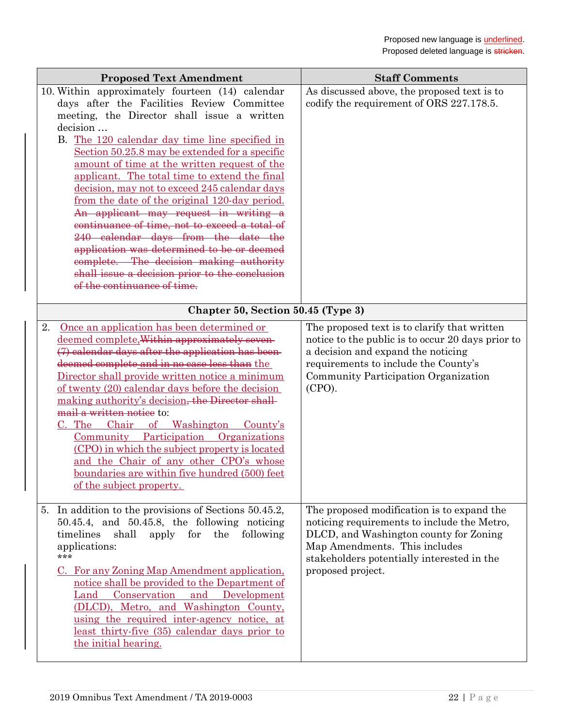|    | <b>Proposed Text Amendment</b>                                                                                                                                                                                                                                                                                                                                                                                                                                                                                                                                                                                                                                                                                                                                             | <b>Staff Comments</b>                                                                                                                                                                                                                   |
|----|----------------------------------------------------------------------------------------------------------------------------------------------------------------------------------------------------------------------------------------------------------------------------------------------------------------------------------------------------------------------------------------------------------------------------------------------------------------------------------------------------------------------------------------------------------------------------------------------------------------------------------------------------------------------------------------------------------------------------------------------------------------------------|-----------------------------------------------------------------------------------------------------------------------------------------------------------------------------------------------------------------------------------------|
|    | 10. Within approximately fourteen (14) calendar<br>days after the Facilities Review Committee<br>meeting, the Director shall issue a written<br>decision<br>B. The 120 calendar day time line specified in<br>Section 50.25.8 may be extended for a specific<br>amount of time at the written request of the<br>applicant. The total time to extend the final<br>decision, may not to exceed 245 calendar days<br>from the date of the original 120-day period.<br>An applicant may request in writing a<br>continuance of time, not to exceed a total of<br>240 calendar days from the date the<br>application was determined to be or deemed<br>complete. The decision making authority<br>shall issue a decision prior to the conclusion<br>of the continuance of time. | As discussed above, the proposed text is to<br>codify the requirement of ORS 227.178.5.                                                                                                                                                 |
|    | Chapter 50, Section 50.45 (Type 3)                                                                                                                                                                                                                                                                                                                                                                                                                                                                                                                                                                                                                                                                                                                                         |                                                                                                                                                                                                                                         |
| 2. | Once an application has been determined or<br>deemed complete, Within approximately seven-<br>(7) calendar days after the application has been-<br>deemed complete and in no case less than the<br>Director shall provide written notice a minimum<br>of twenty (20) calendar days before the decision<br>making authority's decision, the Director shall-<br>mail a written notice to:<br>Chair of Washington County's<br>C. The<br>Community Participation Organizations<br>(CPO) in which the subject property is located<br>and the Chair of any other CPO's whose<br>boundaries are within five hundred (500) feet<br>of the subject property.                                                                                                                        | The proposed text is to clarify that written<br>notice to the public is to occur 20 days prior to<br>a decision and expand the noticing<br>requirements to include the County's<br>Community Participation Organization<br>(CPO).       |
|    | 5. In addition to the provisions of Sections 50.45.2,<br>$50.45.4$ , and $50.45.8$ , the following noticing<br>shall<br>apply for the<br>following<br>timelines<br>applications:<br>$***$<br>C. For any Zoning Map Amendment application,<br>notice shall be provided to the Department of<br>Land Conservation and Development<br>(DLCD), Metro, and Washington County,<br>using the required inter-agency notice, at<br>least thirty-five (35) calendar days prior to<br>the initial hearing.                                                                                                                                                                                                                                                                            | The proposed modification is to expand the<br>noticing requirements to include the Metro,<br>DLCD, and Washington county for Zoning<br>Map Amendments. This includes<br>stakeholders potentially interested in the<br>proposed project. |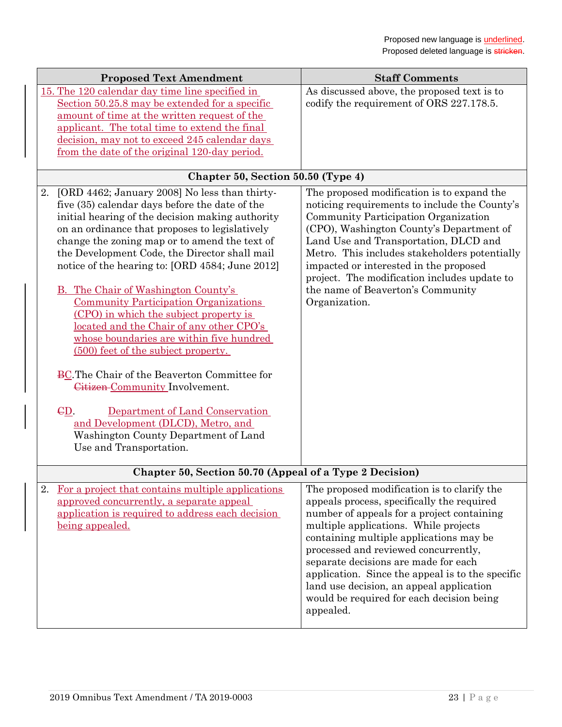|    | <b>Proposed Text Amendment</b>                                                                                                                                                                                                                                                                                                                                                                                                                                                                                                                                                                                                                                                                                                                                                                                                                                  | <b>Staff Comments</b>                                                                                                                                                                                                                                                                                                                                                                                                                                                 |
|----|-----------------------------------------------------------------------------------------------------------------------------------------------------------------------------------------------------------------------------------------------------------------------------------------------------------------------------------------------------------------------------------------------------------------------------------------------------------------------------------------------------------------------------------------------------------------------------------------------------------------------------------------------------------------------------------------------------------------------------------------------------------------------------------------------------------------------------------------------------------------|-----------------------------------------------------------------------------------------------------------------------------------------------------------------------------------------------------------------------------------------------------------------------------------------------------------------------------------------------------------------------------------------------------------------------------------------------------------------------|
|    | 15. The 120 calendar day time line specified in<br>Section 50.25.8 may be extended for a specific<br>amount of time at the written request of the<br>applicant. The total time to extend the final<br>decision, may not to exceed 245 calendar days<br>from the date of the original 120-day period.                                                                                                                                                                                                                                                                                                                                                                                                                                                                                                                                                            | As discussed above, the proposed text is to<br>codify the requirement of ORS 227.178.5.                                                                                                                                                                                                                                                                                                                                                                               |
|    | Chapter 50, Section 50.50 (Type 4)                                                                                                                                                                                                                                                                                                                                                                                                                                                                                                                                                                                                                                                                                                                                                                                                                              |                                                                                                                                                                                                                                                                                                                                                                                                                                                                       |
| 2. | [ORD 4462; January 2008] No less than thirty-<br>five (35) calendar days before the date of the<br>initial hearing of the decision making authority<br>on an ordinance that proposes to legislatively<br>change the zoning map or to amend the text of<br>the Development Code, the Director shall mail<br>notice of the hearing to: [ORD 4584; June 2012]<br>B. The Chair of Washington County's<br><b>Community Participation Organizations</b><br>(CPO) in which the subject property is<br>located and the Chair of any other CPO's<br>whose boundaries are within five hundred<br>(500) feet of the subject property.<br>BC. The Chair of the Beaverton Committee for<br>Citizen-Community Involvement.<br>CD.<br>Department of Land Conservation<br>and Development (DLCD), Metro, and<br>Washington County Department of Land<br>Use and Transportation. | The proposed modification is to expand the<br>noticing requirements to include the County's<br>Community Participation Organization<br>(CPO), Washington County's Department of<br>Land Use and Transportation, DLCD and<br>Metro. This includes stakeholders potentially<br>impacted or interested in the proposed<br>project. The modification includes update to<br>the name of Beaverton's Community<br>Organization.                                             |
|    | Chapter 50, Section 50.70 (Appeal of a Type 2 Decision)                                                                                                                                                                                                                                                                                                                                                                                                                                                                                                                                                                                                                                                                                                                                                                                                         |                                                                                                                                                                                                                                                                                                                                                                                                                                                                       |
| 2. | For a project that contains multiple applications<br>approved concurrently, a separate appeal<br>application is required to address each decision<br>being appealed.                                                                                                                                                                                                                                                                                                                                                                                                                                                                                                                                                                                                                                                                                            | The proposed modification is to clarify the<br>appeals process, specifically the required<br>number of appeals for a project containing<br>multiple applications. While projects<br>containing multiple applications may be<br>processed and reviewed concurrently,<br>separate decisions are made for each<br>application. Since the appeal is to the specific<br>land use decision, an appeal application<br>would be required for each decision being<br>appealed. |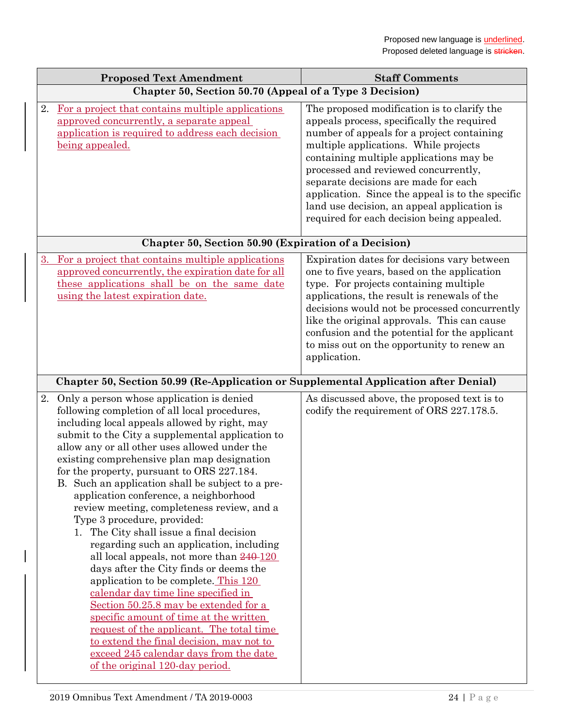|    | <b>Proposed Text Amendment</b>                                                                                                                                                                                                                                                                                                                                                                                                                                                                                                                                                                                                                                                                                                                                                                                                                                                                                                                                                                                                                      | <b>Staff Comments</b>                                                                                                                                                                                                                                                                                                                                                                                                                                        |
|----|-----------------------------------------------------------------------------------------------------------------------------------------------------------------------------------------------------------------------------------------------------------------------------------------------------------------------------------------------------------------------------------------------------------------------------------------------------------------------------------------------------------------------------------------------------------------------------------------------------------------------------------------------------------------------------------------------------------------------------------------------------------------------------------------------------------------------------------------------------------------------------------------------------------------------------------------------------------------------------------------------------------------------------------------------------|--------------------------------------------------------------------------------------------------------------------------------------------------------------------------------------------------------------------------------------------------------------------------------------------------------------------------------------------------------------------------------------------------------------------------------------------------------------|
|    | Chapter 50, Section 50.70 (Appeal of a Type 3 Decision)                                                                                                                                                                                                                                                                                                                                                                                                                                                                                                                                                                                                                                                                                                                                                                                                                                                                                                                                                                                             |                                                                                                                                                                                                                                                                                                                                                                                                                                                              |
| 2. | For a project that contains multiple applications<br>approved concurrently, a separate appeal<br>application is required to address each decision<br><u>being appealed.</u>                                                                                                                                                                                                                                                                                                                                                                                                                                                                                                                                                                                                                                                                                                                                                                                                                                                                         | The proposed modification is to clarify the<br>appeals process, specifically the required<br>number of appeals for a project containing<br>multiple applications. While projects<br>containing multiple applications may be<br>processed and reviewed concurrently,<br>separate decisions are made for each<br>application. Since the appeal is to the specific<br>land use decision, an appeal application is<br>required for each decision being appealed. |
|    | Chapter 50, Section 50.90 (Expiration of a Decision)                                                                                                                                                                                                                                                                                                                                                                                                                                                                                                                                                                                                                                                                                                                                                                                                                                                                                                                                                                                                |                                                                                                                                                                                                                                                                                                                                                                                                                                                              |
| 3. | For a project that contains multiple applications<br>approved concurrently, the expiration date for all<br>these applications shall be on the same date<br>using the latest expiration date.                                                                                                                                                                                                                                                                                                                                                                                                                                                                                                                                                                                                                                                                                                                                                                                                                                                        | Expiration dates for decisions vary between<br>one to five years, based on the application<br>type. For projects containing multiple<br>applications, the result is renewals of the<br>decisions would not be processed concurrently<br>like the original approvals. This can cause<br>confusion and the potential for the applicant<br>to miss out on the opportunity to renew an<br>application.                                                           |
|    | Chapter 50, Section 50.99 (Re-Application or Supplemental Application after Denial)                                                                                                                                                                                                                                                                                                                                                                                                                                                                                                                                                                                                                                                                                                                                                                                                                                                                                                                                                                 |                                                                                                                                                                                                                                                                                                                                                                                                                                                              |
|    | 2. Only a person whose application is denied<br>following completion of all local procedures,<br>including local appeals allowed by right, may<br>submit to the City a supplemental application to<br>allow any or all other uses allowed under the<br>existing comprehensive plan map designation<br>for the property, pursuant to ORS 227.184.<br>B. Such an application shall be subject to a pre-<br>application conference, a neighborhood<br>review meeting, completeness review, and a<br>Type 3 procedure, provided:<br>1. The City shall issue a final decision<br>regarding such an application, including<br>all local appeals, not more than $240-120$<br>days after the City finds or deems the<br>application to be complete. This 120<br>calendar day time line specified in<br>Section 50.25.8 may be extended for a<br>specific amount of time at the written<br>request of the applicant. The total time<br>to extend the final decision, may not to<br>exceed 245 calendar days from the date<br>of the original 120-day period. | As discussed above, the proposed text is to<br>codify the requirement of ORS 227.178.5.                                                                                                                                                                                                                                                                                                                                                                      |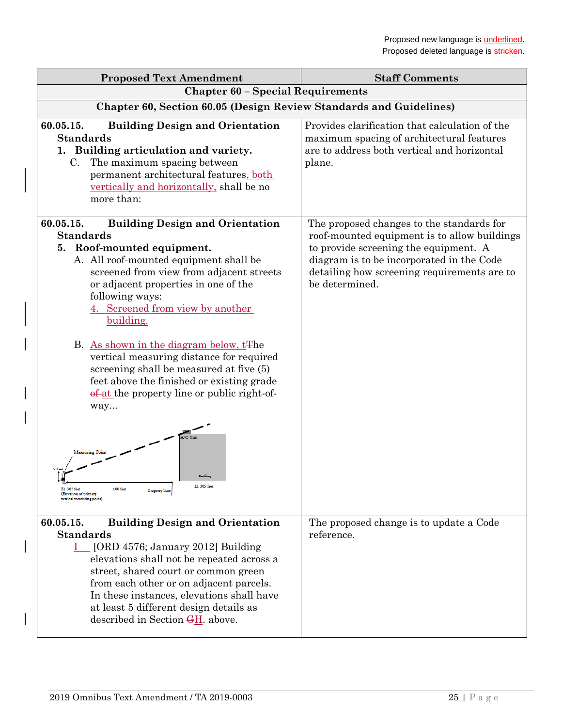| <b>Proposed Text Amendment</b>                                                                                                                                                                                                                                                                                                                                                                                                                                                                                                                                             | <b>Staff Comments</b>                                                                                                                                                                                                                            |  |
|----------------------------------------------------------------------------------------------------------------------------------------------------------------------------------------------------------------------------------------------------------------------------------------------------------------------------------------------------------------------------------------------------------------------------------------------------------------------------------------------------------------------------------------------------------------------------|--------------------------------------------------------------------------------------------------------------------------------------------------------------------------------------------------------------------------------------------------|--|
| <b>Chapter 60 - Special Requirements</b>                                                                                                                                                                                                                                                                                                                                                                                                                                                                                                                                   |                                                                                                                                                                                                                                                  |  |
| Chapter 60, Section 60.05 (Design Review Standards and Guidelines)                                                                                                                                                                                                                                                                                                                                                                                                                                                                                                         |                                                                                                                                                                                                                                                  |  |
| 60.05.15.<br><b>Building Design and Orientation</b><br><b>Standards</b><br>1. Building articulation and variety.<br>The maximum spacing between<br>C.<br>permanent architectural features, both<br>vertically and horizontally, shall be no<br>more than:                                                                                                                                                                                                                                                                                                                  | Provides clarification that calculation of the<br>maximum spacing of architectural features<br>are to address both vertical and horizontal<br>plane.                                                                                             |  |
| <b>Building Design and Orientation</b><br>60.05.15.<br><b>Standards</b><br>5. Roof-mounted equipment.<br>A. All roof-mounted equipment shall be<br>screened from view from adjacent streets<br>or adjacent properties in one of the<br>following ways:<br>4. Screened from view by another<br>building.<br>B. As shown in the diagram below, t <sup>The</sup><br>vertical measuring distance for required<br>screening shall be measured at five (5)<br>feet above the finished or existing grade<br>of at the property line or public right-of-<br>way<br>Measuring Point | The proposed changes to the standards for<br>roof-mounted equipment is to allow buildings<br>to provide screening the equipment. A<br>diagram is to be incorporated in the Code<br>detailing how screening requirements are to<br>be determined. |  |
| El. 305 feet<br>El. 302 feet<br><b>100 feet</b><br><b>Property Line</b><br>(Elevation of primary<br>vertical measuring point                                                                                                                                                                                                                                                                                                                                                                                                                                               |                                                                                                                                                                                                                                                  |  |
| 60.05.15.<br><b>Building Design and Orientation</b><br><b>Standards</b><br>$I_{\text{max}}$ [ORD 4576; January 2012] Building<br>elevations shall not be repeated across a<br>street, shared court or common green<br>from each other or on adjacent parcels.<br>In these instances, elevations shall have<br>at least 5 different design details as<br>described in Section GH. above.                                                                                                                                                                                    | The proposed change is to update a Code<br>reference.                                                                                                                                                                                            |  |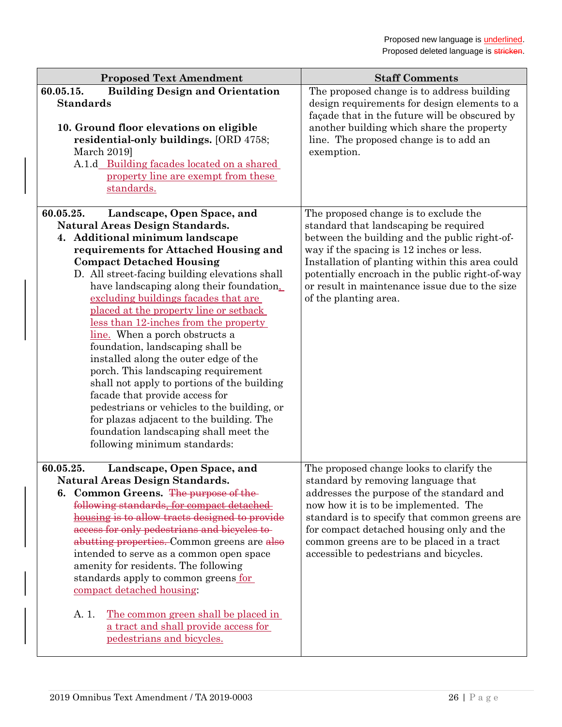| <b>Proposed Text Amendment</b>                                                                                                                                                                                                                                                 | <b>Staff Comments</b>                                                                                                                                                                                                                            |
|--------------------------------------------------------------------------------------------------------------------------------------------------------------------------------------------------------------------------------------------------------------------------------|--------------------------------------------------------------------------------------------------------------------------------------------------------------------------------------------------------------------------------------------------|
| 60.05.15.<br><b>Building Design and Orientation</b><br><b>Standards</b><br>10. Ground floor elevations on eligible<br>residential-only buildings. [ORD 4758;<br>March 2019]<br>A.1.d Building facades located on a shared<br>property line are exempt from these<br>standards. | The proposed change is to address building<br>design requirements for design elements to a<br>façade that in the future will be obscured by<br>another building which share the property<br>line. The proposed change is to add an<br>exemption. |
| 60.05.25.<br>Landscape, Open Space, and                                                                                                                                                                                                                                        | The proposed change is to exclude the                                                                                                                                                                                                            |
| <b>Natural Areas Design Standards.</b><br>4. Additional minimum landscape                                                                                                                                                                                                      | standard that landscaping be required<br>between the building and the public right-of-                                                                                                                                                           |
| requirements for Attached Housing and                                                                                                                                                                                                                                          | way if the spacing is 12 inches or less.                                                                                                                                                                                                         |
| <b>Compact Detached Housing</b>                                                                                                                                                                                                                                                | Installation of planting within this area could                                                                                                                                                                                                  |
| D. All street-facing building elevations shall                                                                                                                                                                                                                                 | potentially encroach in the public right-of-way                                                                                                                                                                                                  |
| have landscaping along their foundation.                                                                                                                                                                                                                                       | or result in maintenance issue due to the size                                                                                                                                                                                                   |
| excluding buildings facades that are                                                                                                                                                                                                                                           | of the planting area.                                                                                                                                                                                                                            |
| placed at the property line or setback<br>less than 12-inches from the property                                                                                                                                                                                                |                                                                                                                                                                                                                                                  |
| line. When a porch obstructs a                                                                                                                                                                                                                                                 |                                                                                                                                                                                                                                                  |
| foundation, landscaping shall be                                                                                                                                                                                                                                               |                                                                                                                                                                                                                                                  |
| installed along the outer edge of the                                                                                                                                                                                                                                          |                                                                                                                                                                                                                                                  |
| porch. This landscaping requirement                                                                                                                                                                                                                                            |                                                                                                                                                                                                                                                  |
| shall not apply to portions of the building                                                                                                                                                                                                                                    |                                                                                                                                                                                                                                                  |
| facade that provide access for<br>pedestrians or vehicles to the building, or                                                                                                                                                                                                  |                                                                                                                                                                                                                                                  |
| for plazas adjacent to the building. The                                                                                                                                                                                                                                       |                                                                                                                                                                                                                                                  |
| foundation landscaping shall meet the                                                                                                                                                                                                                                          |                                                                                                                                                                                                                                                  |
| following minimum standards:                                                                                                                                                                                                                                                   |                                                                                                                                                                                                                                                  |
| Landscape, Open Space, and<br>60.05.25.                                                                                                                                                                                                                                        | The proposed change looks to clarify the                                                                                                                                                                                                         |
| <b>Natural Areas Design Standards.</b>                                                                                                                                                                                                                                         | standard by removing language that                                                                                                                                                                                                               |
| 6. Common Greens. The purpose of the                                                                                                                                                                                                                                           | addresses the purpose of the standard and                                                                                                                                                                                                        |
| following standards, for compact detached                                                                                                                                                                                                                                      | now how it is to be implemented. The                                                                                                                                                                                                             |
| housing is to allow tracts designed to provide<br>access for only pedestrians and bicycles to-                                                                                                                                                                                 | standard is to specify that common greens are<br>for compact detached housing only and the                                                                                                                                                       |
| abutting properties. Common greens are also                                                                                                                                                                                                                                    | common greens are to be placed in a tract                                                                                                                                                                                                        |
| intended to serve as a common open space                                                                                                                                                                                                                                       | accessible to pedestrians and bicycles.                                                                                                                                                                                                          |
| amenity for residents. The following                                                                                                                                                                                                                                           |                                                                                                                                                                                                                                                  |
| standards apply to common greens for                                                                                                                                                                                                                                           |                                                                                                                                                                                                                                                  |
| compact detached housing:                                                                                                                                                                                                                                                      |                                                                                                                                                                                                                                                  |
| <u>The common green shall be placed in</u><br>A. 1.                                                                                                                                                                                                                            |                                                                                                                                                                                                                                                  |
| a tract and shall provide access for                                                                                                                                                                                                                                           |                                                                                                                                                                                                                                                  |
| pedestrians and bicycles.                                                                                                                                                                                                                                                      |                                                                                                                                                                                                                                                  |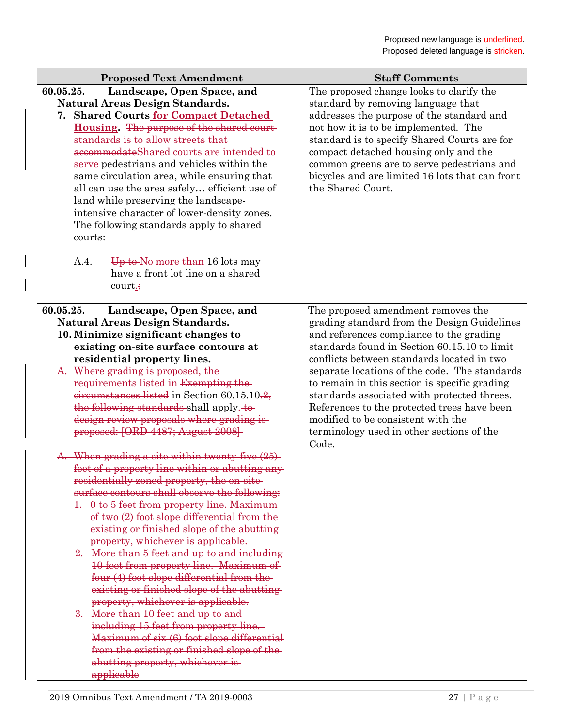| <b>Proposed Text Amendment</b>                                                                                                                                                                                                                                                                                                                                                                                                                                                                                                                                                                                                                                                                                                                                                                                                                                                                                                                                                          | <b>Staff Comments</b>                                                                                                                                                                                                                                                                                                                                                                                                                                                                                                   |
|-----------------------------------------------------------------------------------------------------------------------------------------------------------------------------------------------------------------------------------------------------------------------------------------------------------------------------------------------------------------------------------------------------------------------------------------------------------------------------------------------------------------------------------------------------------------------------------------------------------------------------------------------------------------------------------------------------------------------------------------------------------------------------------------------------------------------------------------------------------------------------------------------------------------------------------------------------------------------------------------|-------------------------------------------------------------------------------------------------------------------------------------------------------------------------------------------------------------------------------------------------------------------------------------------------------------------------------------------------------------------------------------------------------------------------------------------------------------------------------------------------------------------------|
| 60.05.25.<br>Landscape, Open Space, and<br><b>Natural Areas Design Standards.</b><br>7. Shared Courts for Compact Detached<br>Housing. The purpose of the shared court-<br>standards is to allow streets that<br>accommodateShared courts are intended to<br>serve pedestrians and vehicles within the<br>same circulation area, while ensuring that<br>all can use the area safely efficient use of<br>land while preserving the landscape-<br>intensive character of lower-density zones.<br>The following standards apply to shared<br>courts:                                                                                                                                                                                                                                                                                                                                                                                                                                       | The proposed change looks to clarify the<br>standard by removing language that<br>addresses the purpose of the standard and<br>not how it is to be implemented. The<br>standard is to specify Shared Courts are for<br>compact detached housing only and the<br>common greens are to serve pedestrians and<br>bicycles and are limited 16 lots that can front<br>the Shared Court.                                                                                                                                      |
| A.4.<br>Up to No more than 16 lots may<br>have a front lot line on a shared<br>court.;                                                                                                                                                                                                                                                                                                                                                                                                                                                                                                                                                                                                                                                                                                                                                                                                                                                                                                  |                                                                                                                                                                                                                                                                                                                                                                                                                                                                                                                         |
| 60.05.25.<br>Landscape, Open Space, and<br><b>Natural Areas Design Standards.</b><br>10. Minimize significant changes to<br>existing on-site surface contours at<br>residential property lines.<br>A. Where grading is proposed, the<br>requirements listed in Exempting the-<br>eircumstances listed in Section 60.15.10.2.<br>the following standards shall apply-to-<br>design review proposals where grading is-<br>proposed: [ORD 4487; August 2008]-<br>A. When grading a site within twenty-five (25)<br>feet of a property line within or abutting any<br>residentially zoned property, the on-site<br>surface contours shall observe the following:<br>1. 0 to 5 feet from property line. Maximum-<br>of two (2) foot slope differential from the-<br>existing or finished slope of the abutting-<br>property, whichever is applicable.<br>2. More than 5 feet and up to and including<br>10 feet from property line. Maximum of<br>four (4) foot slope differential from the- | The proposed amendment removes the<br>grading standard from the Design Guidelines<br>and references compliance to the grading<br>standards found in Section 60.15.10 to limit<br>conflicts between standards located in two<br>separate locations of the code. The standards<br>to remain in this section is specific grading<br>standards associated with protected threes.<br>References to the protected trees have been<br>modified to be consistent with the<br>terminology used in other sections of the<br>Code. |
| existing or finished slope of the abutting-<br>property, whichever is applicable.<br>3. More than 10 feet and up to and-<br>including 15 feet from property line.<br>Maximum of six (6) foot slope differential<br>from the existing or finished slope of the-<br>abutting property, whichever is-<br>applicable                                                                                                                                                                                                                                                                                                                                                                                                                                                                                                                                                                                                                                                                        |                                                                                                                                                                                                                                                                                                                                                                                                                                                                                                                         |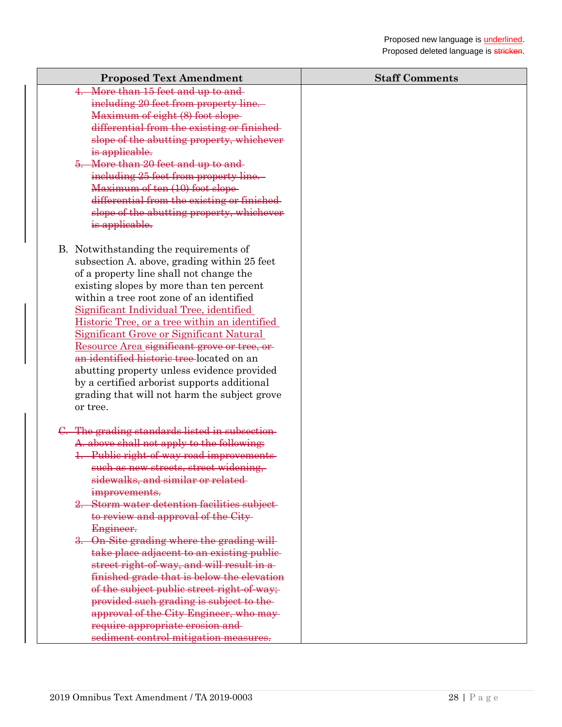| <b>Proposed Text Amendment</b>                                                      | <b>Staff Comments</b> |
|-------------------------------------------------------------------------------------|-----------------------|
| 4. More than 15 feet and up to and                                                  |                       |
| including 20 feet from property line.                                               |                       |
| Maximum of eight (8) foot slope-                                                    |                       |
| differential from the existing or finished-                                         |                       |
| slope of the abutting property, whichever                                           |                       |
| is applicable.                                                                      |                       |
| 5. More than 20 feet and up to and-                                                 |                       |
| including 25 feet from property line.                                               |                       |
| Maximum of ten (10) foot slope-                                                     |                       |
| differential from the existing or finished-                                         |                       |
| slope of the abutting property, whichever                                           |                       |
| is applicable.                                                                      |                       |
| B. Notwithstanding the requirements of                                              |                       |
| subsection A. above, grading within 25 feet                                         |                       |
| of a property line shall not change the                                             |                       |
| existing slopes by more than ten percent                                            |                       |
| within a tree root zone of an identified                                            |                       |
| Significant Individual Tree, identified                                             |                       |
| Historic Tree, or a tree within an identified                                       |                       |
| Significant Grove or Significant Natural                                            |                       |
| Resource Area significant grove or tree, or                                         |                       |
| an identified historic tree-located on an                                           |                       |
| abutting property unless evidence provided                                          |                       |
| by a certified arborist supports additional                                         |                       |
| grading that will not harm the subject grove                                        |                       |
| or tree.                                                                            |                       |
|                                                                                     |                       |
| C. The grading standards listed in subsection-                                      |                       |
| A. above shall not apply to the following:                                          |                       |
| 1. Public right of way road improvements                                            |                       |
| such as new streets, street widening,                                               |                       |
| sidewalks, and similar or related-                                                  |                       |
| improvements.                                                                       |                       |
| 2. Storm water detention facilities subject-<br>to review and approval of the City- |                       |
| Engineer.                                                                           |                       |
| 3. On-Site grading where the grading will-                                          |                       |
| take place adjacent to an existing public-                                          |                       |
| street right-of-way, and will result in a-                                          |                       |
| finished grade that is below the elevation                                          |                       |
| of the subject public street right-of-way;                                          |                       |
| provided such grading is subject to the-                                            |                       |
| approval of the City Engineer, who may-                                             |                       |
| require appropriate erosion and-                                                    |                       |
| sediment control mitigation measures.                                               |                       |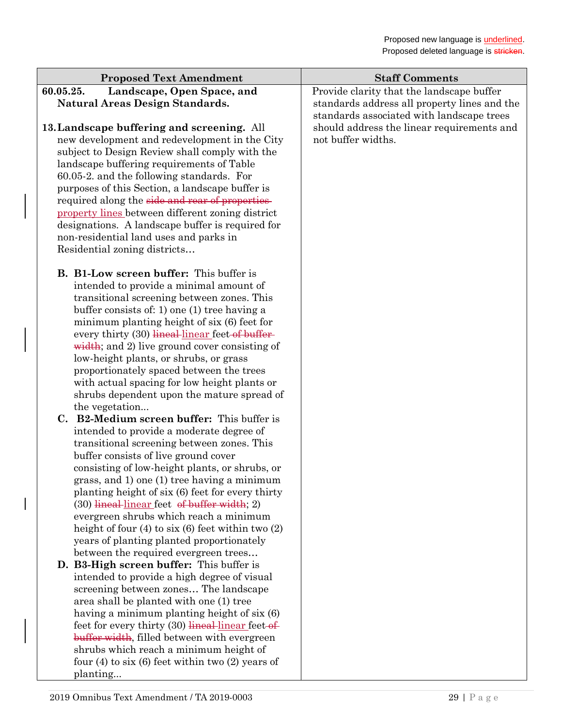| <b>Proposed Text Amendment</b>                          | <b>Staff Comments</b>                        |
|---------------------------------------------------------|----------------------------------------------|
| 60.05.25.<br>Landscape, Open Space, and                 | Provide clarity that the landscape buffer    |
| <b>Natural Areas Design Standards.</b>                  | standards address all property lines and the |
|                                                         | standards associated with landscape trees    |
| 13. Landscape buffering and screening. All              | should address the linear requirements and   |
| new development and redevelopment in the City           | not buffer widths.                           |
| subject to Design Review shall comply with the          |                                              |
| landscape buffering requirements of Table               |                                              |
| 60.05-2. and the following standards. For               |                                              |
| purposes of this Section, a landscape buffer is         |                                              |
| required along the side and rear of properties          |                                              |
| property lines between different zoning district        |                                              |
| designations. A landscape buffer is required for        |                                              |
| non-residential land uses and parks in                  |                                              |
| Residential zoning districts                            |                                              |
|                                                         |                                              |
| <b>B.</b> B1-Low screen buffer: This buffer is          |                                              |
| intended to provide a minimal amount of                 |                                              |
| transitional screening between zones. This              |                                              |
| buffer consists of: 1) one (1) tree having a            |                                              |
| minimum planting height of six (6) feet for             |                                              |
| every thirty (30) lineal linear feet of buffer-         |                                              |
| width; and 2) live ground cover consisting of           |                                              |
| low-height plants, or shrubs, or grass                  |                                              |
| proportionately spaced between the trees                |                                              |
| with actual spacing for low height plants or            |                                              |
| shrubs dependent upon the mature spread of              |                                              |
| the vegetation                                          |                                              |
| C. B2-Medium screen buffer: This buffer is              |                                              |
| intended to provide a moderate degree of                |                                              |
| transitional screening between zones. This              |                                              |
| buffer consists of live ground cover                    |                                              |
| consisting of low-height plants, or shrubs, or          |                                              |
| grass, and 1) one (1) tree having a minimum             |                                              |
| planting height of six (6) feet for every thirty        |                                              |
| (30) lineal linear feet of buffer width; 2)             |                                              |
| evergreen shrubs which reach a minimum                  |                                              |
| height of four $(4)$ to six $(6)$ feet within two $(2)$ |                                              |
| years of planting planted proportionately               |                                              |
| between the required evergreen trees                    |                                              |
| D. B3-High screen buffer: This buffer is                |                                              |
| intended to provide a high degree of visual             |                                              |
| screening between zones The landscape                   |                                              |
| area shall be planted with one (1) tree                 |                                              |
| having a minimum planting height of six (6)             |                                              |
| feet for every thirty $(30)$ lineal linear feet of      |                                              |
| buffer width, filled between with evergreen             |                                              |
| shrubs which reach a minimum height of                  |                                              |
| four $(4)$ to six $(6)$ feet within two $(2)$ years of  |                                              |

planting...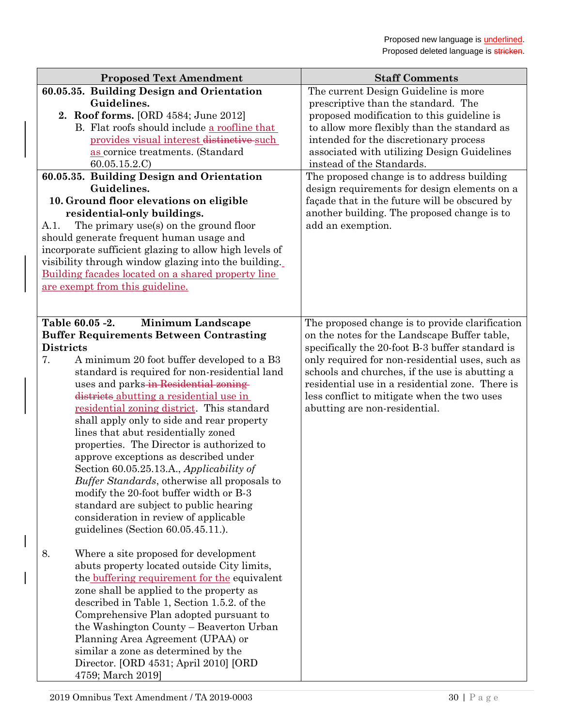| 60.05.35. Building Design and Orientation<br>The current Design Guideline is more<br>Guidelines.<br>prescriptive than the standard. The<br>2. Roof forms. [ORD 4584; June 2012]<br>proposed modification to this guideline is<br>B. Flat roofs should include a roofline that<br>to allow more flexibly than the standard as<br>provides visual interest distinctive such<br>intended for the discretionary process<br>associated with utilizing Design Guidelines<br>as cornice treatments. (Standard |
|--------------------------------------------------------------------------------------------------------------------------------------------------------------------------------------------------------------------------------------------------------------------------------------------------------------------------------------------------------------------------------------------------------------------------------------------------------------------------------------------------------|
|                                                                                                                                                                                                                                                                                                                                                                                                                                                                                                        |
|                                                                                                                                                                                                                                                                                                                                                                                                                                                                                                        |
|                                                                                                                                                                                                                                                                                                                                                                                                                                                                                                        |
|                                                                                                                                                                                                                                                                                                                                                                                                                                                                                                        |
|                                                                                                                                                                                                                                                                                                                                                                                                                                                                                                        |
| 60.05.15.2.C<br>instead of the Standards.                                                                                                                                                                                                                                                                                                                                                                                                                                                              |
| 60.05.35. Building Design and Orientation<br>The proposed change is to address building<br>Guidelines.<br>design requirements for design elements on a<br>10. Ground floor elevations on eligible<br>façade that in the future will be obscured by<br>residential-only buildings.<br>another building. The proposed change is to<br>add an exemption.<br>The primary use(s) on the ground floor<br>A.1.                                                                                                |
| should generate frequent human usage and                                                                                                                                                                                                                                                                                                                                                                                                                                                               |
| incorporate sufficient glazing to allow high levels of                                                                                                                                                                                                                                                                                                                                                                                                                                                 |
| visibility through window glazing into the building.                                                                                                                                                                                                                                                                                                                                                                                                                                                   |
| Building facades located on a shared property line                                                                                                                                                                                                                                                                                                                                                                                                                                                     |
| are exempt from this guideline.                                                                                                                                                                                                                                                                                                                                                                                                                                                                        |
|                                                                                                                                                                                                                                                                                                                                                                                                                                                                                                        |
| Table 60.05 -2.<br><b>Minimum Landscape</b><br>The proposed change is to provide clarification                                                                                                                                                                                                                                                                                                                                                                                                         |
| <b>Buffer Requirements Between Contrasting</b><br>on the notes for the Landscape Buffer table,                                                                                                                                                                                                                                                                                                                                                                                                         |
| <b>Districts</b><br>specifically the 20-foot B-3 buffer standard is                                                                                                                                                                                                                                                                                                                                                                                                                                    |
| only required for non-residential uses, such as<br>7.<br>A minimum 20 foot buffer developed to a B3                                                                                                                                                                                                                                                                                                                                                                                                    |
| standard is required for non-residential land<br>schools and churches, if the use is abutting a                                                                                                                                                                                                                                                                                                                                                                                                        |
| uses and parks-in Residential zoning-<br>residential use in a residential zone. There is                                                                                                                                                                                                                                                                                                                                                                                                               |
| districts abutting a residential use in<br>less conflict to mitigate when the two uses<br>residential zoning district. This standard<br>abutting are non-residential.                                                                                                                                                                                                                                                                                                                                  |
| shall apply only to side and rear property                                                                                                                                                                                                                                                                                                                                                                                                                                                             |
| lines that abut residentially zoned                                                                                                                                                                                                                                                                                                                                                                                                                                                                    |
| properties. The Director is authorized to                                                                                                                                                                                                                                                                                                                                                                                                                                                              |
| approve exceptions as described under                                                                                                                                                                                                                                                                                                                                                                                                                                                                  |
| Section 60.05.25.13.A., Applicability of                                                                                                                                                                                                                                                                                                                                                                                                                                                               |
| Buffer Standards, otherwise all proposals to                                                                                                                                                                                                                                                                                                                                                                                                                                                           |
| modify the 20-foot buffer width or B-3                                                                                                                                                                                                                                                                                                                                                                                                                                                                 |
| standard are subject to public hearing<br>consideration in review of applicable                                                                                                                                                                                                                                                                                                                                                                                                                        |
| guidelines (Section 60.05.45.11.).                                                                                                                                                                                                                                                                                                                                                                                                                                                                     |
|                                                                                                                                                                                                                                                                                                                                                                                                                                                                                                        |
| 8.<br>Where a site proposed for development                                                                                                                                                                                                                                                                                                                                                                                                                                                            |
| abuts property located outside City limits,                                                                                                                                                                                                                                                                                                                                                                                                                                                            |
| the buffering requirement for the equivalent                                                                                                                                                                                                                                                                                                                                                                                                                                                           |
| zone shall be applied to the property as                                                                                                                                                                                                                                                                                                                                                                                                                                                               |
| described in Table 1, Section 1.5.2. of the                                                                                                                                                                                                                                                                                                                                                                                                                                                            |
| Comprehensive Plan adopted pursuant to                                                                                                                                                                                                                                                                                                                                                                                                                                                                 |
| the Washington County – Beaverton Urban<br>Planning Area Agreement (UPAA) or                                                                                                                                                                                                                                                                                                                                                                                                                           |
| similar a zone as determined by the                                                                                                                                                                                                                                                                                                                                                                                                                                                                    |
| Director. [ORD 4531; April 2010] [ORD                                                                                                                                                                                                                                                                                                                                                                                                                                                                  |
| 4759; March 2019]                                                                                                                                                                                                                                                                                                                                                                                                                                                                                      |

 $\overline{\phantom{a}}$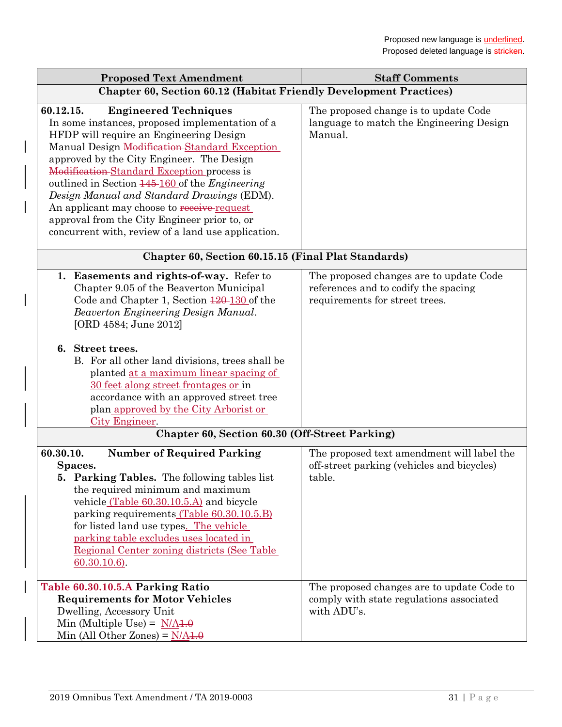| <b>Proposed Text Amendment</b>                                                                                                                                                                                                                                                                                                                                                                                                                                                                                                                 | <b>Staff Comments</b>                                                                                             |
|------------------------------------------------------------------------------------------------------------------------------------------------------------------------------------------------------------------------------------------------------------------------------------------------------------------------------------------------------------------------------------------------------------------------------------------------------------------------------------------------------------------------------------------------|-------------------------------------------------------------------------------------------------------------------|
| <b>Chapter 60, Section 60.12 (Habitat Friendly Development Practices)</b>                                                                                                                                                                                                                                                                                                                                                                                                                                                                      |                                                                                                                   |
| <b>Engineered Techniques</b><br>60.12.15.<br>In some instances, proposed implementation of a<br>HFDP will require an Engineering Design<br>Manual Design Modification Standard Exception<br>approved by the City Engineer. The Design<br>Modification-Standard Exception process is<br>outlined in Section 145-160 of the <i>Engineering</i><br>Design Manual and Standard Drawings (EDM).<br>An applicant may choose to receive request<br>approval from the City Engineer prior to, or<br>concurrent with, review of a land use application. | The proposed change is to update Code<br>language to match the Engineering Design<br>Manual.                      |
| Chapter 60, Section 60.15.15 (Final Plat Standards)                                                                                                                                                                                                                                                                                                                                                                                                                                                                                            |                                                                                                                   |
| 1. Easements and rights-of-way. Refer to<br>Chapter 9.05 of the Beaverton Municipal<br>Code and Chapter 1, Section $\frac{120 - 130}{20}$ of the<br>Beaverton Engineering Design Manual.<br>[ORD 4584; June 2012]<br>6. Street trees.<br>B. For all other land divisions, trees shall be<br>planted at a maximum linear spacing of<br>30 feet along street frontages or in<br>accordance with an approved street tree<br>plan approved by the City Arborist or<br>City Engineer.                                                               | The proposed changes are to update Code<br>references and to codify the spacing<br>requirements for street trees. |
| Chapter 60, Section 60.30 (Off-Street Parking)                                                                                                                                                                                                                                                                                                                                                                                                                                                                                                 |                                                                                                                   |
| 60.30.10.<br><b>Number of Required Parking</b><br>Spaces.<br><b>5. Parking Tables.</b> The following tables list<br>the required minimum and maximum<br>vehicle (Table 60.30.10.5.A) and bicycle<br>parking requirements (Table 60.30.10.5.B)<br>for listed land use types. The vehicle<br>parking table excludes uses located in<br>Regional Center zoning districts (See Table<br>60.30.10.6).                                                                                                                                               | The proposed text amendment will label the<br>off-street parking (vehicles and bicycles)<br>table.                |
| Table 60.30.10.5.A Parking Ratio<br><b>Requirements for Motor Vehicles</b><br>Dwelling, Accessory Unit<br>Min (Multiple Use) = $N/A1.0$<br>Min (All Other Zones) = $N/A1.0$                                                                                                                                                                                                                                                                                                                                                                    | The proposed changes are to update Code to<br>comply with state regulations associated<br>with ADU's.             |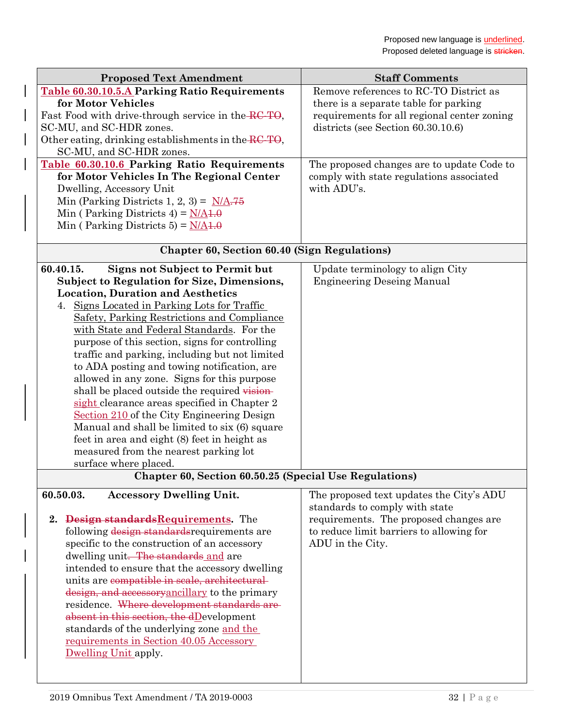| <b>Proposed Text Amendment</b>                                                                | <b>Staff Comments</b>                       |
|-----------------------------------------------------------------------------------------------|---------------------------------------------|
| <b>Table 60.30.10.5.A Parking Ratio Requirements</b>                                          | Remove references to RC-TO District as      |
| for Motor Vehicles                                                                            | there is a separate table for parking       |
| Fast Food with drive-through service in the RC-TO,                                            | requirements for all regional center zoning |
| SC-MU, and SC-HDR zones.                                                                      | districts (see Section 60.30.10.6)          |
| Other eating, drinking establishments in the RC-TO,                                           |                                             |
| SC-MU, and SC-HDR zones.                                                                      |                                             |
| Table 60.30.10.6 Parking Ratio Requirements                                                   | The proposed changes are to update Code to  |
| for Motor Vehicles In The Regional Center                                                     | comply with state regulations associated    |
| Dwelling, Accessory Unit                                                                      | with ADU's.                                 |
| Min (Parking Districts 1, 2, 3) = $N/A.75$<br>Min (Parking Districts 4) = $N/A4.0$            |                                             |
| Min (Parking Districts 5) = $N/A4.0$                                                          |                                             |
|                                                                                               |                                             |
| <b>Chapter 60, Section 60.40 (Sign Regulations)</b>                                           |                                             |
| <b>Signs not Subject to Permit but</b><br>60.40.15.                                           | Update terminology to align City            |
| <b>Subject to Regulation for Size, Dimensions,</b>                                            | <b>Engineering Deseing Manual</b>           |
| <b>Location, Duration and Aesthetics</b>                                                      |                                             |
| 4. Signs Located in Parking Lots for Traffic                                                  |                                             |
| Safety, Parking Restrictions and Compliance                                                   |                                             |
| with State and Federal Standards. For the                                                     |                                             |
| purpose of this section, signs for controlling                                                |                                             |
| traffic and parking, including but not limited<br>to ADA posting and towing notification, are |                                             |
| allowed in any zone. Signs for this purpose                                                   |                                             |
| shall be placed outside the required vision-                                                  |                                             |
| sight clearance areas specified in Chapter 2                                                  |                                             |
| Section 210 of the City Engineering Design                                                    |                                             |
| Manual and shall be limited to six (6) square                                                 |                                             |
| feet in area and eight (8) feet in height as                                                  |                                             |
| measured from the nearest parking lot                                                         |                                             |
| surface where placed.                                                                         |                                             |
| Chapter 60, Section 60.50.25 (Special Use Regulations)                                        |                                             |
| <b>Accessory Dwelling Unit.</b><br>60.50.03.                                                  | The proposed text updates the City's ADU    |
|                                                                                               | standards to comply with state              |
| 2. Design standards Requirements. The                                                         | requirements. The proposed changes are      |
| following design standards requirements are                                                   | to reduce limit barriers to allowing for    |
| specific to the construction of an accessory                                                  | ADU in the City.                            |
| dwelling unit. The standards and are                                                          |                                             |
| intended to ensure that the accessory dwelling                                                |                                             |
| units are compatible in scale, architectural-                                                 |                                             |
| design, and accessory ancillary to the primary<br>residence. Where development standards are  |                                             |
| absent in this section, the $dD$ evelopment                                                   |                                             |
| standards of the underlying zone and the                                                      |                                             |
| <u>requirements in Section 40.05 Accessory</u>                                                |                                             |
| Dwelling Unit apply.                                                                          |                                             |
|                                                                                               |                                             |
|                                                                                               |                                             |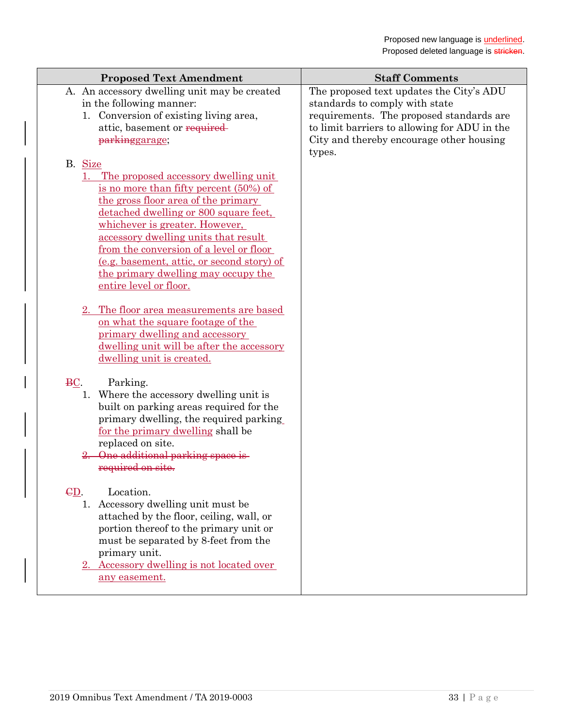| <b>Proposed Text Amendment</b>                                                                                                                                                                                                                                                                                                                                                                                      | <b>Staff Comments</b>                                                                                                                                                                                                        |
|---------------------------------------------------------------------------------------------------------------------------------------------------------------------------------------------------------------------------------------------------------------------------------------------------------------------------------------------------------------------------------------------------------------------|------------------------------------------------------------------------------------------------------------------------------------------------------------------------------------------------------------------------------|
| A. An accessory dwelling unit may be created<br>in the following manner:<br>1. Conversion of existing living area,<br>attic, basement or required<br>parkinggarage;                                                                                                                                                                                                                                                 | The proposed text updates the City's ADU<br>standards to comply with state<br>requirements. The proposed standards are<br>to limit barriers to allowing for ADU in the<br>City and thereby encourage other housing<br>types. |
| B. Size<br>1. The proposed accessory dwelling unit<br>is no more than fifty percent $(50\%)$ of<br>the gross floor area of the primary<br>detached dwelling or 800 square feet,<br>whichever is greater. However,<br>accessory dwelling units that result<br>from the conversion of a level or floor<br>(e.g. basement, attic, or second story) of<br>the primary dwelling may occupy the<br>entire level or floor. |                                                                                                                                                                                                                              |
| 2. The floor area measurements are based<br>on what the square footage of the<br>primary dwelling and accessory<br>dwelling unit will be after the accessory<br>dwelling unit is created.                                                                                                                                                                                                                           |                                                                                                                                                                                                                              |
| $\underline{BC}$ .<br>Parking.<br>1. Where the accessory dwelling unit is<br>built on parking areas required for the<br>primary dwelling, the required parking<br>for the primary dwelling shall be<br>replaced on site.<br>2. One additional parking space is<br>required on site.                                                                                                                                 |                                                                                                                                                                                                                              |
| GD.<br>Location.<br>1. Accessory dwelling unit must be<br>attached by the floor, ceiling, wall, or<br>portion thereof to the primary unit or<br>must be separated by 8-feet from the<br>primary unit.<br>2. Accessory dwelling is not located over<br>any easement.                                                                                                                                                 |                                                                                                                                                                                                                              |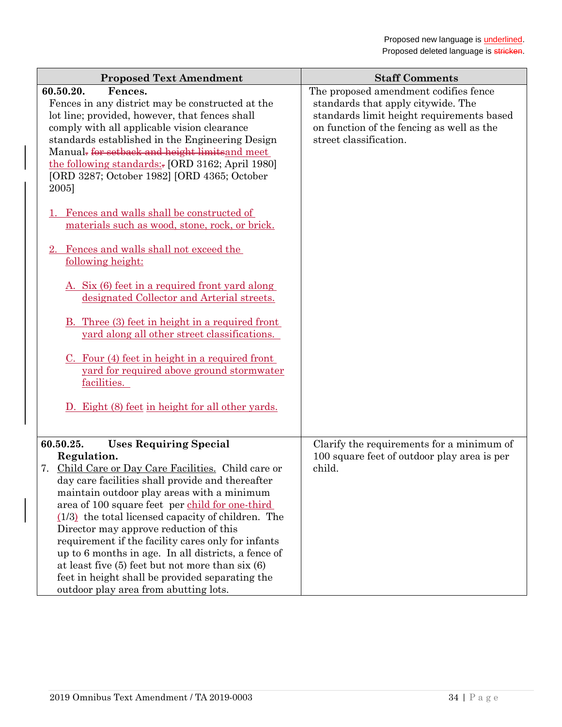| <b>Proposed Text Amendment</b>                                                                                                                                                                                                                                                                                                                                                                                                                                                                                                                                                                | <b>Staff Comments</b>                                                                                                                                                                           |
|-----------------------------------------------------------------------------------------------------------------------------------------------------------------------------------------------------------------------------------------------------------------------------------------------------------------------------------------------------------------------------------------------------------------------------------------------------------------------------------------------------------------------------------------------------------------------------------------------|-------------------------------------------------------------------------------------------------------------------------------------------------------------------------------------------------|
| 60.50.20.<br>Fences.<br>Fences in any district may be constructed at the<br>lot line; provided, however, that fences shall<br>comply with all applicable vision clearance<br>standards established in the Engineering Design<br>Manual <del>.</del> for setback and height limits and meet<br>the following standards: [ORD 3162; April 1980]<br>[ORD 3287; October 1982] [ORD 4365; October<br>2005]                                                                                                                                                                                         | The proposed amendment codifies fence<br>standards that apply citywide. The<br>standards limit height requirements based<br>on function of the fencing as well as the<br>street classification. |
| Fences and walls shall be constructed of<br>materials such as wood, stone, rock, or brick.<br>2. Fences and walls shall not exceed the                                                                                                                                                                                                                                                                                                                                                                                                                                                        |                                                                                                                                                                                                 |
| following height:                                                                                                                                                                                                                                                                                                                                                                                                                                                                                                                                                                             |                                                                                                                                                                                                 |
| A. Six (6) feet in a required front yard along<br>designated Collector and Arterial streets.                                                                                                                                                                                                                                                                                                                                                                                                                                                                                                  |                                                                                                                                                                                                 |
| B. Three (3) feet in height in a required front<br>yard along all other street classifications.                                                                                                                                                                                                                                                                                                                                                                                                                                                                                               |                                                                                                                                                                                                 |
| $C.$ Four (4) feet in height in a required front<br>yard for required above ground stormwater<br>facilities.                                                                                                                                                                                                                                                                                                                                                                                                                                                                                  |                                                                                                                                                                                                 |
| <u>Eight (8) feet in height for all other yards.</u>                                                                                                                                                                                                                                                                                                                                                                                                                                                                                                                                          |                                                                                                                                                                                                 |
| <b>Uses Requiring Special</b><br>60.50.25.                                                                                                                                                                                                                                                                                                                                                                                                                                                                                                                                                    | Clarify the requirements for a minimum of                                                                                                                                                       |
| Regulation.<br>7. Child Care or Day Care Facilities. Child care or<br>day care facilities shall provide and thereafter<br>maintain outdoor play areas with a minimum<br>area of 100 square feet per child for one-third<br>$(1/3)$ the total licensed capacity of children. The<br>Director may approve reduction of this<br>requirement if the facility cares only for infants<br>up to 6 months in age. In all districts, a fence of<br>at least five $(5)$ feet but not more than $s$ ix $(6)$<br>feet in height shall be provided separating the<br>outdoor play area from abutting lots. | 100 square feet of outdoor play area is per<br>child.                                                                                                                                           |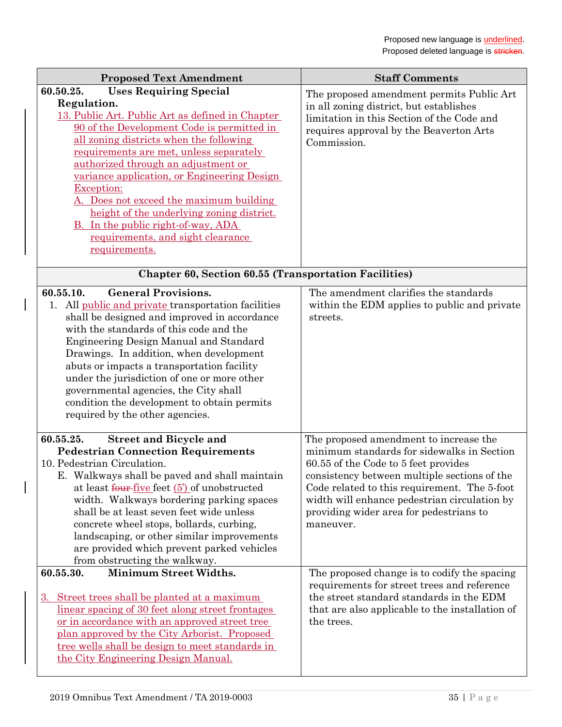| <b>Proposed Text Amendment</b>                                                                                                                                                                                                                                                                                                                                                                                                                                                                                                                   | <b>Staff Comments</b>                                                                                                                                                                                                                                                                                                                |
|--------------------------------------------------------------------------------------------------------------------------------------------------------------------------------------------------------------------------------------------------------------------------------------------------------------------------------------------------------------------------------------------------------------------------------------------------------------------------------------------------------------------------------------------------|--------------------------------------------------------------------------------------------------------------------------------------------------------------------------------------------------------------------------------------------------------------------------------------------------------------------------------------|
| <b>Uses Requiring Special</b><br>60.50.25.<br>Regulation.<br>13. Public Art. Public Art as defined in Chapter<br>90 of the Development Code is permitted in<br>all zoning districts when the following<br>requirements are met, unless separately<br>authorized through an adjustment or<br>variance application, or Engineering Design<br>Exception:<br>A. Does not exceed the maximum building<br>height of the underlying zoning district.<br><b>B.</b> In the public right-of-way, ADA<br>requirements, and sight clearance<br>requirements. | The proposed amendment permits Public Art<br>in all zoning district, but establishes<br>limitation in this Section of the Code and<br>requires approval by the Beaverton Arts<br>Commission.                                                                                                                                         |
| <b>Chapter 60, Section 60.55 (Transportation Facilities)</b>                                                                                                                                                                                                                                                                                                                                                                                                                                                                                     |                                                                                                                                                                                                                                                                                                                                      |
| <b>General Provisions.</b><br>60.55.10.<br>1. All public and private transportation facilities<br>shall be designed and improved in accordance<br>with the standards of this code and the<br><b>Engineering Design Manual and Standard</b><br>Drawings. In addition, when development<br>abuts or impacts a transportation facility<br>under the jurisdiction of one or more other<br>governmental agencies, the City shall<br>condition the development to obtain permits<br>required by the other agencies.                                    | The amendment clarifies the standards<br>within the EDM applies to public and private<br>streets.                                                                                                                                                                                                                                    |
| 60.55.25.<br><b>Street and Bicycle and</b><br><b>Pedestrian Connection Requirements</b><br>10. Pedestrian Circulation.<br>E. Walkways shall be paved and shall maintain<br>at least four-five feet $(5')$ of unobstructed<br>width. Walkways bordering parking spaces<br>shall be at least seven feet wide unless<br>concrete wheel stops, bollards, curbing,<br>landscaping, or other similar improvements<br>are provided which prevent parked vehicles<br>from obstructing the walkway.                                                       | The proposed amendment to increase the<br>minimum standards for sidewalks in Section<br>60.55 of the Code to 5 feet provides<br>consistency between multiple sections of the<br>Code related to this requirement. The 5-foot<br>width will enhance pedestrian circulation by<br>providing wider area for pedestrians to<br>maneuver. |
| <b>Minimum Street Widths.</b><br>60.55.30.<br>3. Street trees shall be planted at a maximum<br>linear spacing of 30 feet along street frontages<br>or in accordance with an approved street tree<br>plan approved by the City Arborist. Proposed<br>tree wells shall be design to meet standards in<br>the City Engineering Design Manual.                                                                                                                                                                                                       | The proposed change is to codify the spacing<br>requirements for street trees and reference<br>the street standard standards in the EDM<br>that are also applicable to the installation of<br>the trees.                                                                                                                             |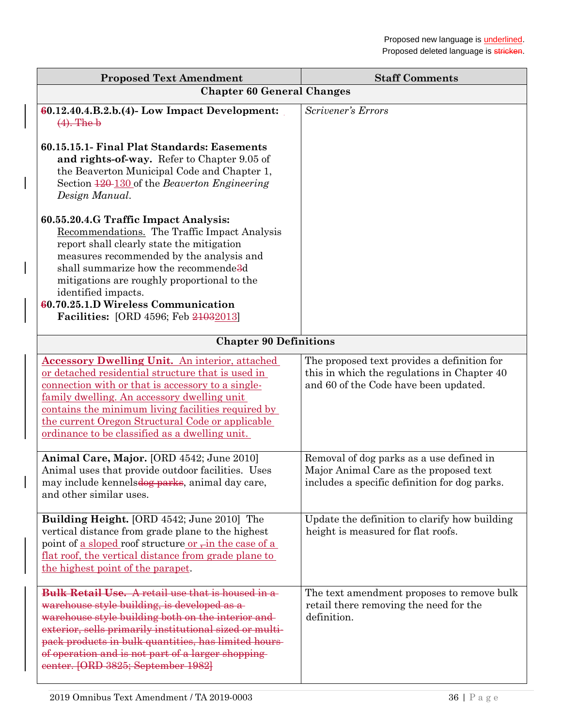| <b>Proposed Text Amendment</b>                                                                                                                                                                                                                                                                                                                                                                         | <b>Staff Comments</b>                                                                                                               |  |
|--------------------------------------------------------------------------------------------------------------------------------------------------------------------------------------------------------------------------------------------------------------------------------------------------------------------------------------------------------------------------------------------------------|-------------------------------------------------------------------------------------------------------------------------------------|--|
| <b>Chapter 60 General Changes</b>                                                                                                                                                                                                                                                                                                                                                                      |                                                                                                                                     |  |
| $60.12.40.4.B.2.b. (4)$ - Low Impact Development:<br>$(4)$ . The b                                                                                                                                                                                                                                                                                                                                     | Scrivener's Errors                                                                                                                  |  |
| 60.15.15.1- Final Plat Standards: Easements<br>and rights-of-way. Refer to Chapter 9.05 of<br>the Beaverton Municipal Code and Chapter 1,<br>Section 120-130 of the Beaverton Engineering<br>Design Manual.                                                                                                                                                                                            |                                                                                                                                     |  |
| 60.55.20.4.G Traffic Impact Analysis:<br>Recommendations. The Traffic Impact Analysis<br>report shall clearly state the mitigation<br>measures recommended by the analysis and<br>shall summarize how the recommende <sup>3</sup> d<br>mitigations are roughly proportional to the<br>identified impacts.<br><b>60.70.25.1.D Wireless Communication</b><br><b>Facilities:</b> [ORD 4596; Feb 21032013] |                                                                                                                                     |  |
| <b>Chapter 90 Definitions</b>                                                                                                                                                                                                                                                                                                                                                                          |                                                                                                                                     |  |
| <b>Accessory Dwelling Unit.</b> An interior, attached<br>or detached residential structure that is used in<br>connection with or that is accessory to a single-<br>family dwelling. An accessory dwelling unit<br>contains the minimum living facilities required by<br>the current Oregon Structural Code or applicable<br>ordinance to be classified as a dwelling unit.                             | The proposed text provides a definition for<br>this in which the regulations in Chapter 40<br>and 60 of the Code have been updated. |  |
| Animal Care, Major. [ORD 4542; June 2010]<br>Animal uses that provide outdoor facilities. Uses<br>may include kennelsdog parks, animal day care,<br>and other similar uses.                                                                                                                                                                                                                            | Removal of dog parks as a use defined in<br>Major Animal Care as the proposed text<br>includes a specific definition for dog parks. |  |
| Building Height. [ORD 4542; June 2010] The<br>vertical distance from grade plane to the highest<br>point of <u>a sloped</u> roof structure <u>or –in the case of a</u><br><u>flat roof, the vertical distance from grade plane to</u><br>the highest point of the parapet.                                                                                                                             | Update the definition to clarify how building<br>height is measured for flat roofs.                                                 |  |
| <b>Bulk Retail Use.</b> A retail use that is housed in a<br>warehouse style building, is developed as a<br>warehouse style building both on the interior and<br>exterior, sells primarily institutional sized or multi-<br>pack products in bulk quantities, has limited hours-<br>of operation and is not part of a larger shopping<br>eenter. [ORD 3825; September 1982]                             | The text amendment proposes to remove bulk<br>retail there removing the need for the<br>definition.                                 |  |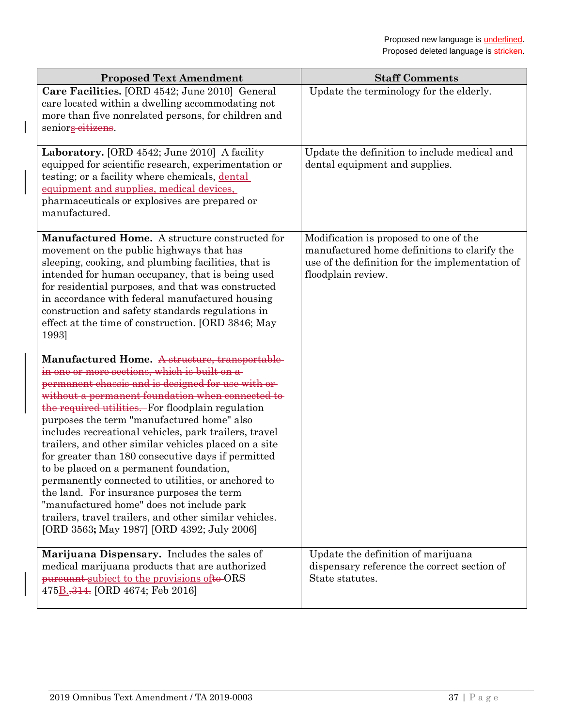| <b>Proposed Text Amendment</b>                                                                                                                                                                                                                                                                                                                                                                                                                                                                                                                                                                                                                                                                                                                                                        | <b>Staff Comments</b>                                                                                                                                           |
|---------------------------------------------------------------------------------------------------------------------------------------------------------------------------------------------------------------------------------------------------------------------------------------------------------------------------------------------------------------------------------------------------------------------------------------------------------------------------------------------------------------------------------------------------------------------------------------------------------------------------------------------------------------------------------------------------------------------------------------------------------------------------------------|-----------------------------------------------------------------------------------------------------------------------------------------------------------------|
| Care Facilities. [ORD 4542; June 2010] General<br>care located within a dwelling accommodating not<br>more than five nonrelated persons, for children and<br>seniors eitizens.                                                                                                                                                                                                                                                                                                                                                                                                                                                                                                                                                                                                        | Update the terminology for the elderly.                                                                                                                         |
| Laboratory. [ORD 4542; June 2010] A facility<br>equipped for scientific research, experimentation or<br>testing; or a facility where chemicals, dental<br>equipment and supplies, medical devices,<br>pharmaceuticals or explosives are prepared or<br>manufactured.                                                                                                                                                                                                                                                                                                                                                                                                                                                                                                                  | Update the definition to include medical and<br>dental equipment and supplies.                                                                                  |
| Manufactured Home. A structure constructed for<br>movement on the public highways that has<br>sleeping, cooking, and plumbing facilities, that is<br>intended for human occupancy, that is being used<br>for residential purposes, and that was constructed<br>in accordance with federal manufactured housing<br>construction and safety standards regulations in<br>effect at the time of construction. [ORD 3846; May<br>1993]                                                                                                                                                                                                                                                                                                                                                     | Modification is proposed to one of the<br>manufactured home definitions to clarify the<br>use of the definition for the implementation of<br>floodplain review. |
| Manufactured Home. A structure, transportable<br>in one or more sections, which is built on a-<br>permanent chassis and is designed for use with or<br>without a permanent foundation when connected to<br>the required utilities. For floodplain regulation<br>purposes the term "manufactured home" also<br>includes recreational vehicles, park trailers, travel<br>trailers, and other similar vehicles placed on a site<br>for greater than 180 consecutive days if permitted<br>to be placed on a permanent foundation,<br>permanently connected to utilities, or anchored to<br>the land. For insurance purposes the term<br>"manufactured home" does not include park<br>trailers, travel trailers, and other similar vehicles.<br>[ORD 3563; May 1987] [ORD 4392; July 2006] |                                                                                                                                                                 |
| Marijuana Dispensary. Includes the sales of<br>medical marijuana products that are authorized<br>pursuant-subject to the provisions of to-ORS<br>475 <b>B</b> <sub>-314</sub> . [ORD 4674; Feb 2016]                                                                                                                                                                                                                                                                                                                                                                                                                                                                                                                                                                                  | Update the definition of marijuana<br>dispensary reference the correct section of<br>State statutes.                                                            |